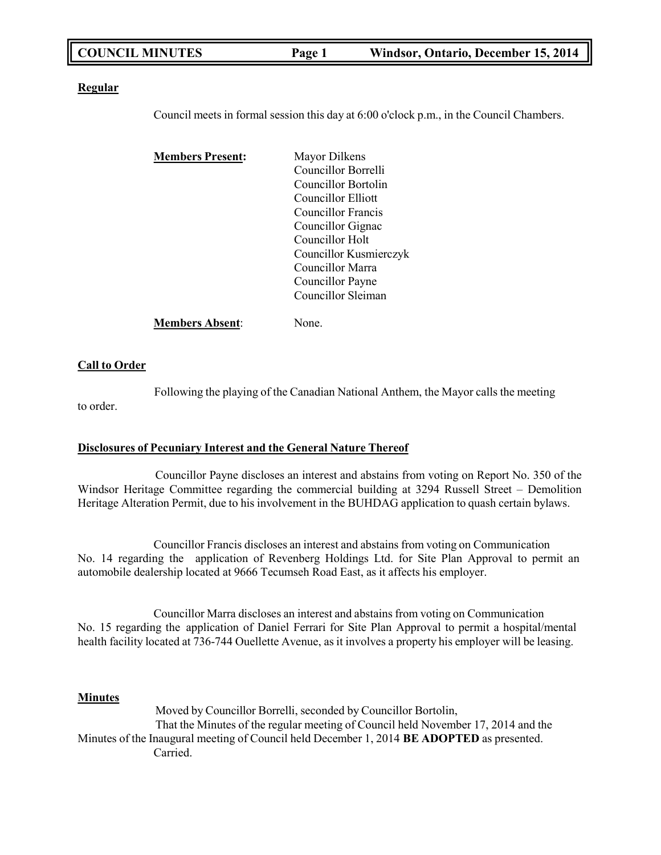| <b>COUNCIL MINUTES</b> | Page 1 | Windsor, Ontario, December 15, 2014 |
|------------------------|--------|-------------------------------------|
|------------------------|--------|-------------------------------------|

#### **Regular**

Council meets in formal session this day at 6:00 o'clock p.m., in the Council Chambers.

| <b>Members Present:</b> | Mayor Dilkens          |
|-------------------------|------------------------|
|                         | Councillor Borrelli    |
|                         | Councillor Bortolin    |
|                         | Councillor Elliott     |
|                         | Councillor Francis     |
|                         | Councillor Gignac      |
|                         | Councillor Holt        |
|                         | Councillor Kusmierczyk |
|                         | Councillor Marra       |
|                         | Councillor Payne       |
|                         | Councillor Sleiman     |
| <b>Members Absent:</b>  | None.                  |

## **Call to Order**

Following the playing of the Canadian National Anthem, the Mayor calls the meeting to order.

## **Disclosures of Pecuniary Interest and the General Nature Thereof**

Councillor Payne discloses an interest and abstains from voting on Report No. 350 of the Windsor Heritage Committee regarding the commercial building at 3294 Russell Street – Demolition Heritage Alteration Permit, due to his involvement in the BUHDAG application to quash certain bylaws.

Councillor Francis discloses an interest and abstains from voting on Communication No. 14 regarding the application of Revenberg Holdings Ltd. for Site Plan Approval to permit an automobile dealership located at 9666 Tecumseh Road East, as it affects his employer.

Councillor Marra discloses an interest and abstains from voting on Communication No. 15 regarding the application of Daniel Ferrari for Site Plan Approval to permit a hospital/mental health facility located at 736-744 Ouellette Avenue, as it involves a property his employer will be leasing.

## **Minutes**

Moved by Councillor Borrelli, seconded by Councillor Bortolin, That the Minutes of the regular meeting of Council held November 17, 2014 and the Minutes of the Inaugural meeting of Council held December 1, 2014 **BE ADOPTED** as presented. Carried.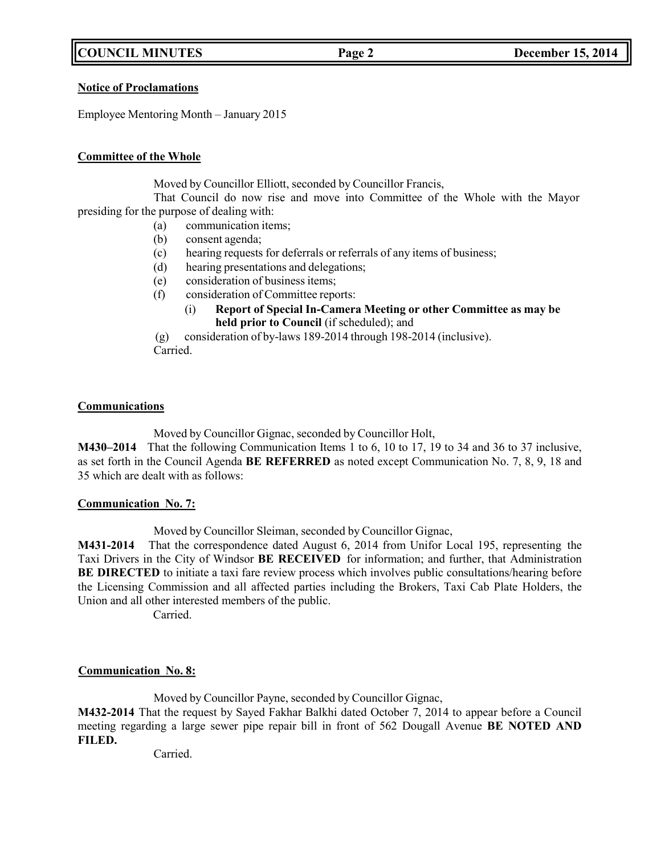## **COUNCIL MINUTES Page 2 December 15, 2014**

## **Notice of Proclamations**

Employee Mentoring Month – January 2015

## **Committee of the Whole**

Moved by Councillor Elliott, seconded by Councillor Francis,

That Council do now rise and move into Committee of the Whole with the Mayor presiding for the purpose of dealing with:

- (a) communication items;
- (b) consent agenda;
- (c) hearing requests for deferrals or referrals of any items of business;
- (d) hearing presentations and delegations;
- (e) consideration of business items;
- (f) consideration of Committee reports:
	- (i) **Report of Special In-Camera Meeting or other Committee as may be held prior to Council** (if scheduled); and

(g) consideration of by-laws 189-2014 through 198-2014 (inclusive). Carried.

## **Communications**

Moved by Councillor Gignac, seconded by Councillor Holt,

**M430–2014** That the following Communication Items 1 to 6, 10 to 17, 19 to 34 and 36 to 37 inclusive, as set forth in the Council Agenda **BE REFERRED** as noted except Communication No. 7, 8, 9, 18 and 35 which are dealt with as follows:

## **Communication No. 7:**

Moved by Councillor Sleiman, seconded by Councillor Gignac,

**M431-2014** That the correspondence dated August 6, 2014 from Unifor Local 195, representing the Taxi Drivers in the City of Windsor **BE RECEIVED** for information; and further, that Administration **BE DIRECTED** to initiate a taxi fare review process which involves public consultations/hearing before the Licensing Commission and all affected parties including the Brokers, Taxi Cab Plate Holders, the Union and all other interested members of the public.

Carried.

## **Communication No. 8:**

Moved by Councillor Payne, seconded by Councillor Gignac,

**M432-2014** That the request by Sayed Fakhar Balkhi dated October 7, 2014 to appear before a Council meeting regarding a large sewer pipe repair bill in front of 562 Dougall Avenue **BE NOTED AND FILED.**

Carried.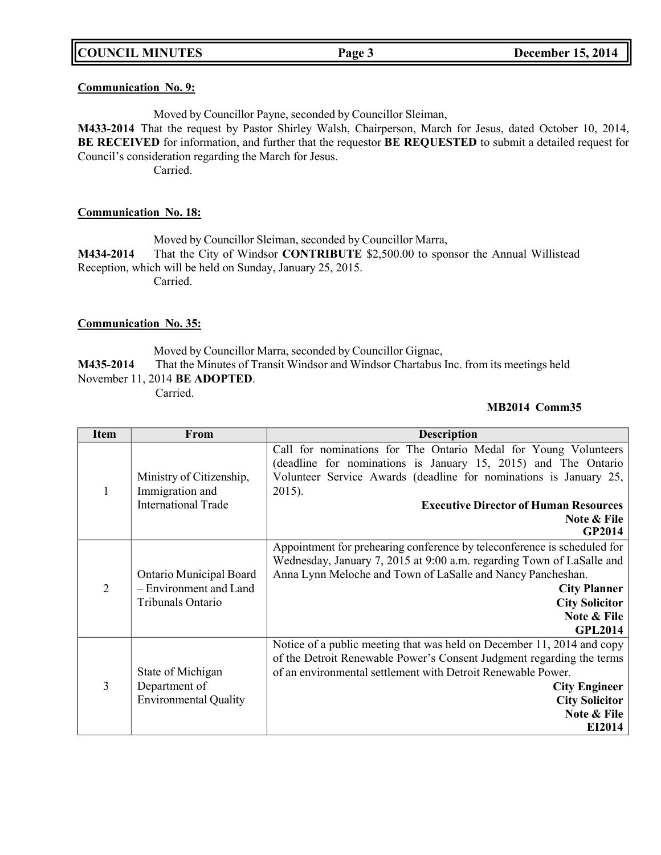## **Communication No. 9:**

Moved by Councillor Payne, seconded by Councillor Sleiman,

**M433-2014** That the request by Pastor Shirley Walsh, Chairperson, March for Jesus, dated October 10, 2014, **BE RECEIVED** for information, and further that the requestor **BE REQUESTED** to submit a detailed request for Council's consideration regarding the March for Jesus.

Carried.

## **Communication No. 18:**

Moved by Councillor Sleiman, seconded by Councillor Marra, **M434-2014** That the City of Windsor **CONTRIBUTE** \$2,500.00 to sponsor the Annual Willistead Reception, which will be held on Sunday, January 25, 2015. Carried.

## **Communication No. 35:**

Moved by Councillor Marra, seconded by Councillor Gignac, **M435-2014** That the Minutes of Transit Windsor and Windsor Chartabus Inc. from its meetings held November 11, 2014 **BE ADOPTED**.

Carried.

## **MB2014 Comm35**

| <b>Item</b>    | From                                                                   | <b>Description</b>                                                                                                                                                                                                                                                                                |
|----------------|------------------------------------------------------------------------|---------------------------------------------------------------------------------------------------------------------------------------------------------------------------------------------------------------------------------------------------------------------------------------------------|
|                | Ministry of Citizenship,                                               | Call for nominations for The Ontario Medal for Young Volunteers<br>(deadline for nominations is January 15, 2015) and The Ontario<br>Volunteer Service Awards (deadline for nominations is January 25,                                                                                            |
|                | Immigration and<br><b>International Trade</b>                          | $2015$ ).<br><b>Executive Director of Human Resources</b>                                                                                                                                                                                                                                         |
|                |                                                                        | Note & File<br>GP2014                                                                                                                                                                                                                                                                             |
| $\overline{2}$ | Ontario Municipal Board<br>- Environment and Land<br>Tribunals Ontario | Appointment for prehearing conference by teleconference is scheduled for<br>Wednesday, January 7, 2015 at 9:00 a.m. regarding Town of LaSalle and<br>Anna Lynn Meloche and Town of LaSalle and Nancy Pancheshan.<br><b>City Planner</b><br><b>City Solicitor</b><br>Note & File<br><b>GPL2014</b> |
| 3              | State of Michigan<br>Department of<br><b>Environmental Quality</b>     | Notice of a public meeting that was held on December 11, 2014 and copy<br>of the Detroit Renewable Power's Consent Judgment regarding the terms<br>of an environmental settlement with Detroit Renewable Power.<br><b>City Engineer</b><br><b>City Solicitor</b><br>Note & File<br>EI2014         |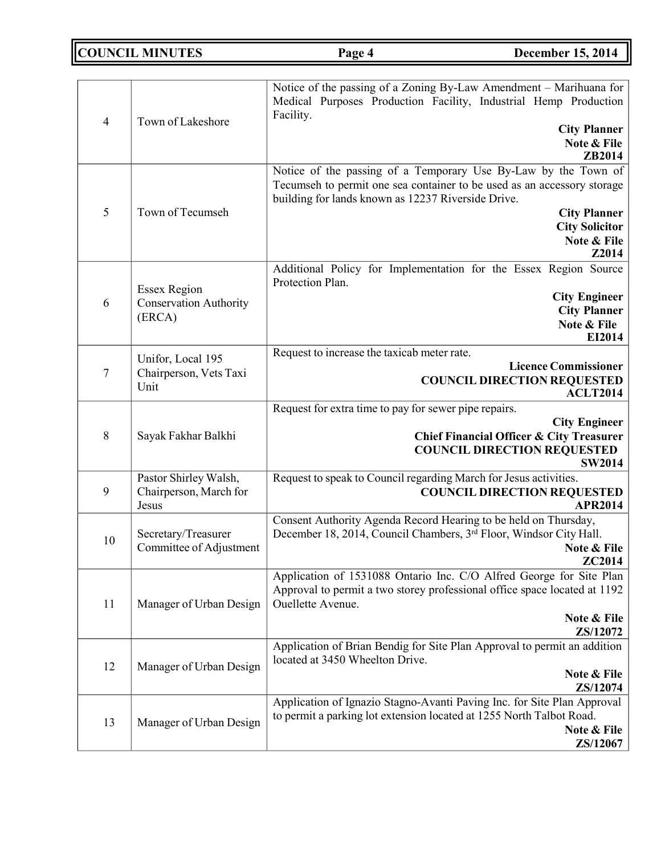**COUNCIL MINUTES Page 4 December 15, 2014**

| $\overline{4}$ | Town of Lakeshore                                              | Notice of the passing of a Zoning By-Law Amendment – Marihuana for<br>Medical Purposes Production Facility, Industrial Hemp Production<br>Facility.<br><b>City Planner</b><br>Note & File<br>ZB2014                                                                     |
|----------------|----------------------------------------------------------------|-------------------------------------------------------------------------------------------------------------------------------------------------------------------------------------------------------------------------------------------------------------------------|
| 5              | Town of Tecumseh                                               | Notice of the passing of a Temporary Use By-Law by the Town of<br>Tecumseh to permit one sea container to be used as an accessory storage<br>building for lands known as 12237 Riverside Drive.<br><b>City Planner</b><br><b>City Solicitor</b><br>Note & File<br>Z2014 |
| 6              | <b>Essex Region</b><br><b>Conservation Authority</b><br>(ERCA) | Additional Policy for Implementation for the Essex Region Source<br>Protection Plan.<br><b>City Engineer</b><br><b>City Planner</b><br>Note & File<br>EI2014                                                                                                            |
| 7              | Unifor, Local 195<br>Chairperson, Vets Taxi<br>Unit            | Request to increase the taxicab meter rate.<br><b>Licence Commissioner</b><br><b>COUNCIL DIRECTION REQUESTED</b><br><b>ACLT2014</b>                                                                                                                                     |
| 8              | Sayak Fakhar Balkhi                                            | Request for extra time to pay for sewer pipe repairs.<br><b>City Engineer</b><br><b>Chief Financial Officer &amp; City Treasurer</b><br><b>COUNCIL DIRECTION REQUESTED</b><br><b>SW2014</b>                                                                             |
| 9              | Pastor Shirley Walsh,<br>Chairperson, March for<br>Jesus       | Request to speak to Council regarding March for Jesus activities.<br><b>COUNCIL DIRECTION REQUESTED</b><br><b>APR2014</b>                                                                                                                                               |
| 10             | Secretary/Treasurer<br>Committee of Adjustment                 | Consent Authority Agenda Record Hearing to be held on Thursday,<br>December 18, 2014, Council Chambers, 3rd Floor, Windsor City Hall.<br>Note & File<br>ZC2014                                                                                                          |
| 11             | Manager of Urban Design                                        | Application of 1531088 Ontario Inc. C/O Alfred George for Site Plan<br>Approval to permit a two storey professional office space located at 1192<br>Ouellette Avenue.<br>Note & File<br>ZS/12072                                                                        |
| 12             | Manager of Urban Design                                        | Application of Brian Bendig for Site Plan Approval to permit an addition<br>located at 3450 Wheelton Drive.<br>Note & File<br>ZS/12074                                                                                                                                  |
| 13             | Manager of Urban Design                                        | Application of Ignazio Stagno-Avanti Paving Inc. for Site Plan Approval<br>to permit a parking lot extension located at 1255 North Talbot Road.<br>Note & File<br>ZS/12067                                                                                              |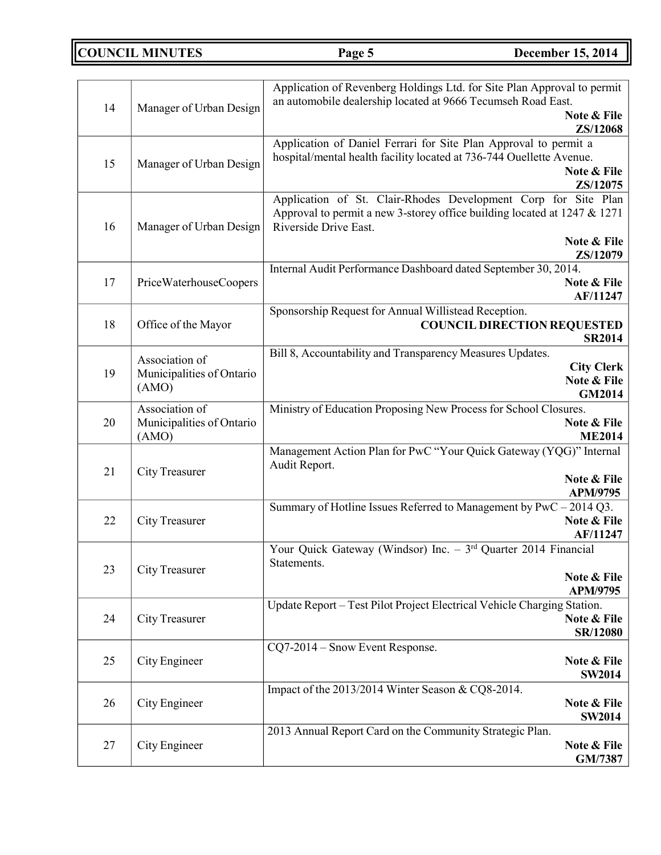**COUNCIL MINUTES Page 5 December 15, 2014**

|                                 |                           | Application of Revenberg Holdings Ltd. for Site Plan Approval to permit<br>an automobile dealership located at 9666 Tecumseh Road East.       |  |
|---------------------------------|---------------------------|-----------------------------------------------------------------------------------------------------------------------------------------------|--|
| 14                              | Manager of Urban Design   | Note & File                                                                                                                                   |  |
|                                 |                           | ZS/12068                                                                                                                                      |  |
|                                 |                           | Application of Daniel Ferrari for Site Plan Approval to permit a<br>hospital/mental health facility located at 736-744 Ouellette Avenue.      |  |
| 15                              | Manager of Urban Design   | Note & File                                                                                                                                   |  |
|                                 |                           | ZS/12075                                                                                                                                      |  |
|                                 |                           | Application of St. Clair-Rhodes Development Corp for Site Plan<br>Approval to permit a new 3-storey office building located at $1247 \& 1271$ |  |
| 16                              | Manager of Urban Design   | Riverside Drive East.                                                                                                                         |  |
|                                 |                           | Note & File                                                                                                                                   |  |
|                                 |                           | ZS/12079<br>Internal Audit Performance Dashboard dated September 30, 2014.                                                                    |  |
| 17                              | PriceWaterhouseCoopers    | Note & File                                                                                                                                   |  |
|                                 |                           | AF/11247                                                                                                                                      |  |
|                                 |                           | Sponsorship Request for Annual Willistead Reception.                                                                                          |  |
| 18                              | Office of the Mayor       | <b>COUNCIL DIRECTION REQUESTED</b><br><b>SR2014</b>                                                                                           |  |
|                                 | Association of            | Bill 8, Accountability and Transparency Measures Updates.                                                                                     |  |
| 19                              | Municipalities of Ontario | <b>City Clerk</b>                                                                                                                             |  |
|                                 | (AMO)                     | Note & File<br>GM2014                                                                                                                         |  |
|                                 | Association of            | Ministry of Education Proposing New Process for School Closures.                                                                              |  |
| 20<br>Municipalities of Ontario |                           | Note & File                                                                                                                                   |  |
|                                 | (AMO)                     | <b>ME2014</b><br>Management Action Plan for PwC "Your Quick Gateway (YQG)" Internal                                                           |  |
| 21                              | City Treasurer            | Audit Report.                                                                                                                                 |  |
|                                 |                           | Note & File                                                                                                                                   |  |
|                                 |                           | <b>APM/9795</b><br>Summary of Hotline Issues Referred to Management by PwC - 2014 Q3.                                                         |  |
| 22                              | City Treasurer            | Note & File                                                                                                                                   |  |
|                                 |                           | AF/11247                                                                                                                                      |  |
|                                 |                           | Your Quick Gateway (Windsor) Inc. $-3^{rd}$ Quarter 2014 Financial<br>Statements.                                                             |  |
| 23                              | City Treasurer            | Note & File                                                                                                                                   |  |
|                                 |                           | APM/9795                                                                                                                                      |  |
| 24                              | City Treasurer            | Update Report - Test Pilot Project Electrical Vehicle Charging Station.<br>Note & File                                                        |  |
|                                 |                           | SR/12080                                                                                                                                      |  |
|                                 |                           | CQ7-2014 – Snow Event Response.                                                                                                               |  |
| 25                              | City Engineer             | Note & File                                                                                                                                   |  |
|                                 |                           | <b>SW2014</b><br>Impact of the 2013/2014 Winter Season & CQ8-2014.                                                                            |  |
| 26                              | City Engineer             | Note & File                                                                                                                                   |  |
|                                 |                           | <b>SW2014</b>                                                                                                                                 |  |
| 27                              | City Engineer             | 2013 Annual Report Card on the Community Strategic Plan.<br>Note & File                                                                       |  |
|                                 |                           | GM/7387                                                                                                                                       |  |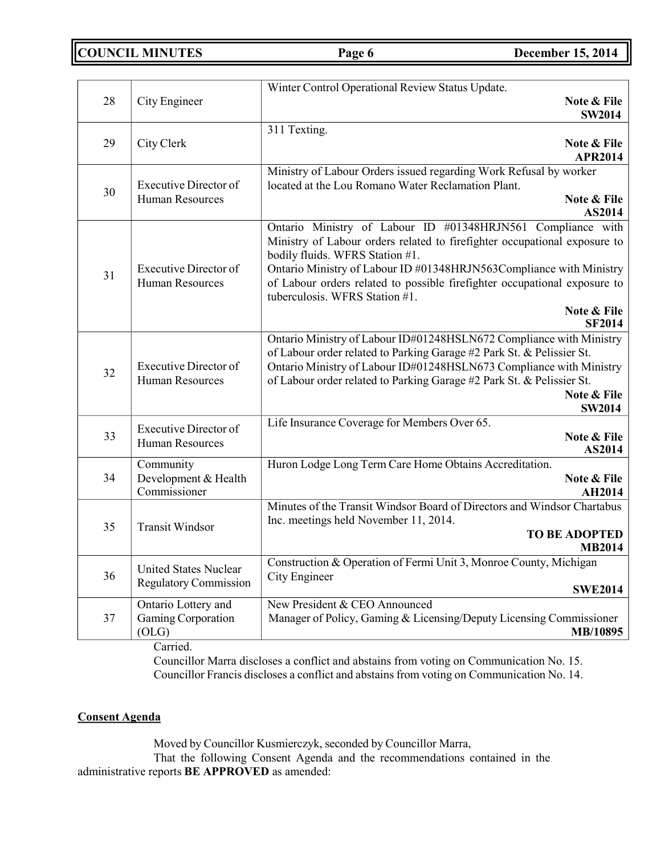**COUNCIL MINUTES Page 6 December 15, 2014**

|    |                                                              | Winter Control Operational Review Status Update.                                                                                         |
|----|--------------------------------------------------------------|------------------------------------------------------------------------------------------------------------------------------------------|
| 28 | City Engineer                                                | Note & File                                                                                                                              |
|    |                                                              | <b>SW2014</b>                                                                                                                            |
| 29 | City Clerk                                                   | 311 Texting.<br>Note & File                                                                                                              |
|    |                                                              | <b>APR2014</b>                                                                                                                           |
|    |                                                              | Ministry of Labour Orders issued regarding Work Refusal by worker                                                                        |
| 30 | <b>Executive Director of</b>                                 | located at the Lou Romano Water Reclamation Plant.                                                                                       |
|    | <b>Human Resources</b>                                       | Note & File                                                                                                                              |
|    |                                                              | AS2014                                                                                                                                   |
|    |                                                              | Ontario Ministry of Labour ID #01348HRJN561 Compliance with<br>Ministry of Labour orders related to firefighter occupational exposure to |
|    |                                                              | bodily fluids. WFRS Station #1.                                                                                                          |
|    | <b>Executive Director of</b>                                 | Ontario Ministry of Labour ID #01348HRJN563Compliance with Ministry                                                                      |
| 31 | <b>Human Resources</b>                                       | of Labour orders related to possible firefighter occupational exposure to                                                                |
|    |                                                              | tuberculosis. WFRS Station #1.                                                                                                           |
|    |                                                              | Note & File<br><b>SF2014</b>                                                                                                             |
|    |                                                              | Ontario Ministry of Labour ID#01248HSLN672 Compliance with Ministry                                                                      |
|    |                                                              | of Labour order related to Parking Garage #2 Park St. & Pelissier St.                                                                    |
|    | <b>Executive Director of</b>                                 | Ontario Ministry of Labour ID#01248HSLN673 Compliance with Ministry                                                                      |
| 32 | <b>Human Resources</b>                                       | of Labour order related to Parking Garage #2 Park St. & Pelissier St.                                                                    |
|    |                                                              | Note & File                                                                                                                              |
|    |                                                              | <b>SW2014</b>                                                                                                                            |
| 33 | <b>Executive Director of</b>                                 | Life Insurance Coverage for Members Over 65.<br>Note & File                                                                              |
|    | <b>Human Resources</b>                                       | AS2014                                                                                                                                   |
|    | Community                                                    | Huron Lodge Long Term Care Home Obtains Accreditation.                                                                                   |
| 34 | Development & Health                                         | Note & File                                                                                                                              |
|    | Commissioner                                                 | <b>AH2014</b>                                                                                                                            |
|    |                                                              | Minutes of the Transit Windsor Board of Directors and Windsor Chartabus                                                                  |
| 35 | <b>Transit Windsor</b>                                       | Inc. meetings held November 11, 2014.<br><b>TO BE ADOPTED</b>                                                                            |
|    |                                                              | <b>MB2014</b>                                                                                                                            |
|    |                                                              | Construction & Operation of Fermi Unit 3, Monroe County, Michigan                                                                        |
| 36 | <b>United States Nuclear</b><br><b>Regulatory Commission</b> | City Engineer                                                                                                                            |
|    |                                                              | <b>SWE2014</b>                                                                                                                           |
|    | Ontario Lottery and                                          | New President & CEO Announced                                                                                                            |
| 37 | Gaming Corporation<br>(OLG)                                  | Manager of Policy, Gaming & Licensing/Deputy Licensing Commissioner<br>MB/10895                                                          |
|    |                                                              |                                                                                                                                          |

Carried.

Councillor Marra discloses a conflict and abstains from voting on Communication No. 15. Councillor Francis discloses a conflict and abstains from voting on Communication No. 14.

## **Consent Agenda**

Moved by Councillor Kusmierczyk, seconded by Councillor Marra,

That the following Consent Agenda and the recommendations contained in the administrative reports **BE APPROVED** as amended: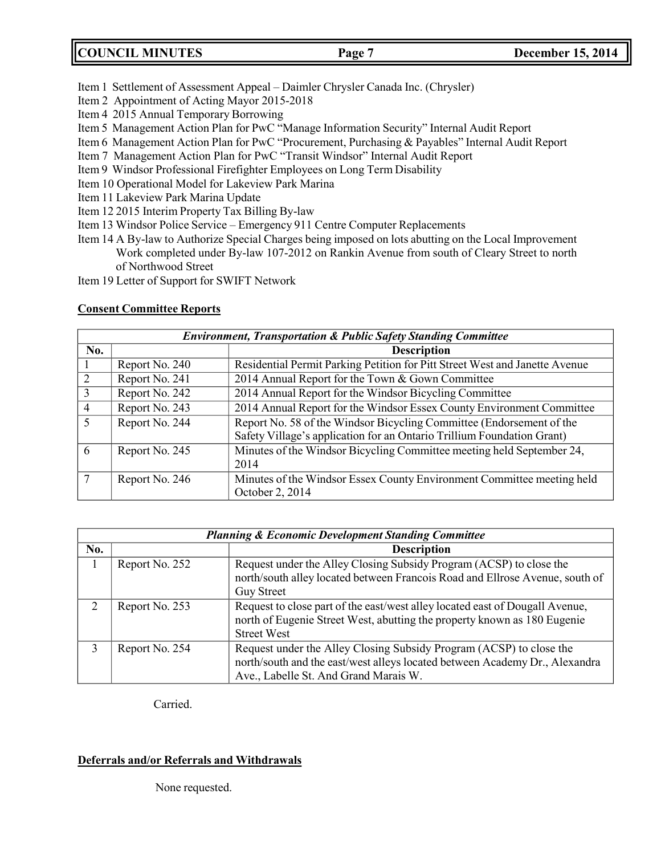|  | <b>COUNCIL MINUTES</b> | Page <sup>'</sup> | <b>December 15, 2014</b> |
|--|------------------------|-------------------|--------------------------|
|--|------------------------|-------------------|--------------------------|

- Item 1 Settlement of Assessment Appeal Daimler Chrysler Canada Inc. (Chrysler)
- Item 2 Appointment of Acting Mayor 2015-2018
- Item 4 2015 Annual Temporary Borrowing
- Item 5 Management Action Plan for PwC "Manage Information Security" Internal Audit Report
- Item 6 Management Action Plan for PwC "Procurement, Purchasing & Payables" Internal Audit Report
- Item 7 Management Action Plan for PwC "Transit Windsor" Internal Audit Report
- Item 9 Windsor Professional Firefighter Employees on Long Term Disability
- Item 10 Operational Model for Lakeview Park Marina
- Item 11 Lakeview Park Marina Update
- Item 12 2015 Interim Property Tax Billing By-law
- Item 13 Windsor Police Service Emergency 911 Centre Computer Replacements
- Item 14 A By-law to Authorize Special Charges being imposed on lots abutting on the Local Improvement Work completed under By-law 107-2012 on Rankin Avenue from south of Cleary Street to north of Northwood Street
- Item 19 Letter of Support for SWIFT Network

## **Consent Committee Reports**

|                | <b>Environment, Transportation &amp; Public Safety Standing Committee</b> |                                                                                                                                                |  |
|----------------|---------------------------------------------------------------------------|------------------------------------------------------------------------------------------------------------------------------------------------|--|
| No.            |                                                                           | <b>Description</b>                                                                                                                             |  |
|                | Report No. 240                                                            | Residential Permit Parking Petition for Pitt Street West and Janette Avenue                                                                    |  |
| 2              | Report No. 241                                                            | 2014 Annual Report for the Town & Gown Committee                                                                                               |  |
| $\overline{3}$ | Report No. 242                                                            | 2014 Annual Report for the Windsor Bicycling Committee                                                                                         |  |
| $\overline{4}$ | Report No. 243                                                            | 2014 Annual Report for the Windsor Essex County Environment Committee                                                                          |  |
| 5              | Report No. 244                                                            | Report No. 58 of the Windsor Bicycling Committee (Endorsement of the<br>Safety Village's application for an Ontario Trillium Foundation Grant) |  |
| 6              | Report No. 245                                                            | Minutes of the Windsor Bicycling Committee meeting held September 24,<br>2014                                                                  |  |
|                | Report No. 246                                                            | Minutes of the Windsor Essex County Environment Committee meeting held<br>October 2, 2014                                                      |  |

|               | <b>Planning &amp; Economic Development Standing Committee</b> |                                                                                                                                                                                             |  |  |
|---------------|---------------------------------------------------------------|---------------------------------------------------------------------------------------------------------------------------------------------------------------------------------------------|--|--|
| No.           |                                                               | <b>Description</b>                                                                                                                                                                          |  |  |
|               | Report No. 252                                                | Request under the Alley Closing Subsidy Program (ACSP) to close the<br>north/south alley located between Francois Road and Ellrose Avenue, south of<br><b>Guy Street</b>                    |  |  |
| $\mathcal{D}$ | Report No. 253                                                | Request to close part of the east/west alley located east of Dougall Avenue,<br>north of Eugenie Street West, abutting the property known as 180 Eugenie<br><b>Street West</b>              |  |  |
| 3             | Report No. 254                                                | Request under the Alley Closing Subsidy Program (ACSP) to close the<br>north/south and the east/west alleys located between Academy Dr., Alexandra<br>Ave., Labelle St. And Grand Marais W. |  |  |

Carried.

## **Deferrals and/or Referrals and Withdrawals**

None requested.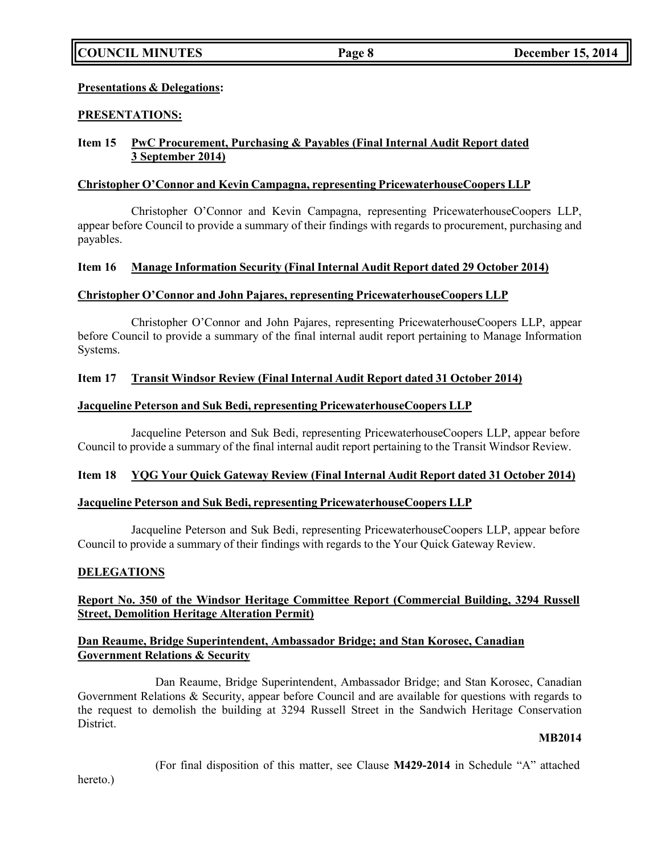## **Presentations & Delegations:**

## **PRESENTATIONS:**

## **Item 15 PwC Procurement, Purchasing & Payables (Final Internal Audit Report dated 3 September 2014)**

## **Christopher O'Connor and Kevin Campagna, representing PricewaterhouseCoopers LLP**

Christopher O'Connor and Kevin Campagna, representing PricewaterhouseCoopers LLP, appear before Council to provide a summary of their findings with regards to procurement, purchasing and payables.

## **Item 16 Manage Information Security (Final Internal Audit Report dated 29 October 2014)**

## **Christopher O'Connor and John Pajares, representing PricewaterhouseCoopers LLP**

Christopher O'Connor and John Pajares, representing PricewaterhouseCoopers LLP, appear before Council to provide a summary of the final internal audit report pertaining to Manage Information Systems.

## **Item 17 Transit Windsor Review (Final Internal Audit Report dated 31 October 2014)**

## **Jacqueline Peterson and Suk Bedi, representing PricewaterhouseCoopers LLP**

Jacqueline Peterson and Suk Bedi, representing PricewaterhouseCoopers LLP, appear before Council to provide a summary of the final internal audit report pertaining to the Transit Windsor Review.

## **Item 18 YQG Your Quick Gateway Review (Final Internal Audit Report dated 31 October 2014)**

#### **Jacqueline Peterson and Suk Bedi, representing PricewaterhouseCoopers LLP**

Jacqueline Peterson and Suk Bedi, representing PricewaterhouseCoopers LLP, appear before Council to provide a summary of their findings with regards to the Your Quick Gateway Review.

## **DELEGATIONS**

## **Report No. 350 of the Windsor Heritage Committee Report (Commercial Building, 3294 Russell Street, Demolition Heritage Alteration Permit)**

## **Dan Reaume, Bridge Superintendent, Ambassador Bridge; and Stan Korosec, Canadian Government Relations & Security**

Dan Reaume, Bridge Superintendent, Ambassador Bridge; and Stan Korosec, Canadian Government Relations & Security, appear before Council and are available for questions with regards to the request to demolish the building at 3294 Russell Street in the Sandwich Heritage Conservation District.

#### **MB2014**

(For final disposition of this matter, see Clause **M429-2014** in Schedule "A" attached

hereto.)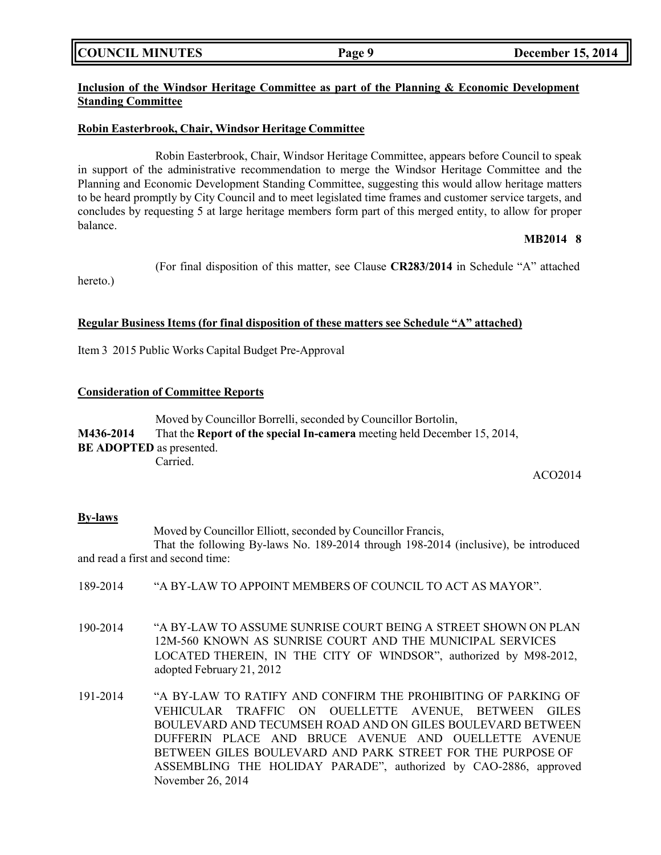**COUNCIL MINUTES Page 9 December 15, 2014**

## **Inclusion of the Windsor Heritage Committee as part of the Planning & Economic Development Standing Committee**

## **Robin Easterbrook, Chair, Windsor Heritage Committee**

Robin Easterbrook, Chair, Windsor Heritage Committee, appears before Council to speak in support of the administrative recommendation to merge the Windsor Heritage Committee and the Planning and Economic Development Standing Committee, suggesting this would allow heritage matters to be heard promptly by City Council and to meet legislated time frames and customer service targets, and concludes by requesting 5 at large heritage members form part of this merged entity, to allow for proper balance.

## **MB2014 8**

(For final disposition of this matter, see Clause **CR283/2014** in Schedule "A" attached

## **Regular Business Items (for final disposition of these matters see Schedule "A" attached)**

Item 3 2015 Public Works Capital Budget Pre-Approval

## **Consideration of Committee Reports**

Moved by Councillor Borrelli, seconded by Councillor Bortolin, **M436-2014** That the **Report of the special In-camera** meeting held December 15, 2014, **BE ADOPTED** as presented. Carried.

ACO2014

#### **By-laws**

hereto.)

Moved by Councillor Elliott, seconded by Councillor Francis,

That the following By-laws No. 189-2014 through 198-2014 (inclusive), be introduced and read a first and second time:

- 189-2014 "A BY-LAW TO APPOINT MEMBERS OF COUNCIL TO ACT AS MAYOR".
- 190-2014 "A BY-LAW TO ASSUME SUNRISE COURT BEING A STREET SHOWN ON PLAN 12M-560 KNOWN AS SUNRISE COURT AND THE MUNICIPAL SERVICES LOCATED THEREIN, IN THE CITY OF WINDSOR", authorized by M98-2012, adopted February 21, 2012
- 191-2014 "A BY-LAW TO RATIFY AND CONFIRM THE PROHIBITING OF PARKING OF VEHICULAR TRAFFIC ON OUELLETTE AVENUE, BETWEEN GILES BOULEVARD AND TECUMSEH ROAD AND ON GILES BOULEVARD BETWEEN DUFFERIN PLACE AND BRUCE AVENUE AND OUELLETTE AVENUE BETWEEN GILES BOULEVARD AND PARK STREET FOR THE PURPOSE OF ASSEMBLING THE HOLIDAY PARADE", authorized by CAO-2886, approved November 26, 2014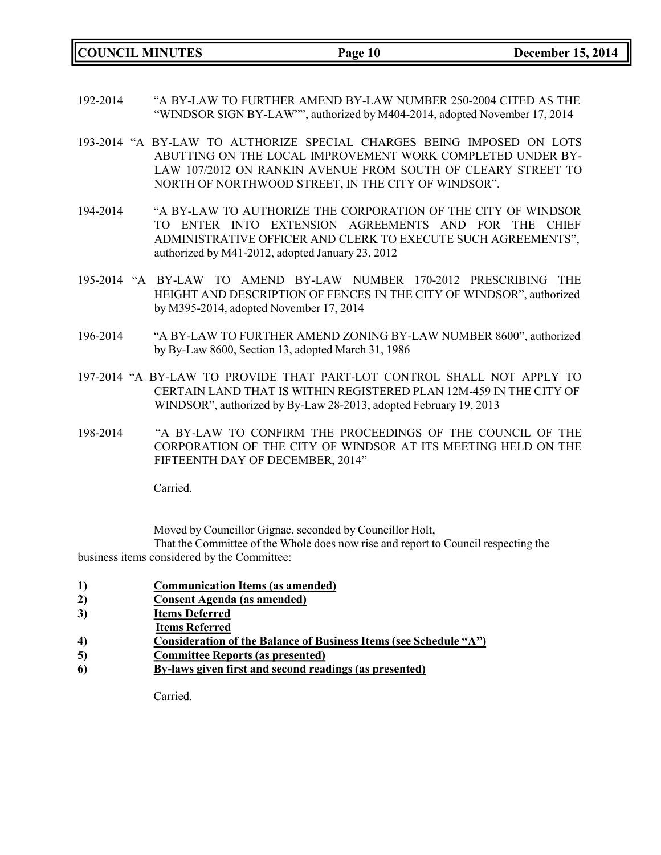**COUNCIL MINUTES Page 10 December 15, 2014**

- 192-2014 "A BY-LAW TO FURTHER AMEND BY-LAW NUMBER 250-2004 CITED AS THE "WINDSOR SIGN BY-LAW"", authorized by M404-2014, adopted November 17, 2014
- 193-2014 "A BY-LAW TO AUTHORIZE SPECIAL CHARGES BEING IMPOSED ON LOTS ABUTTING ON THE LOCAL IMPROVEMENT WORK COMPLETED UNDER BY-LAW 107/2012 ON RANKIN AVENUE FROM SOUTH OF CLEARY STREET TO NORTH OF NORTHWOOD STREET, IN THE CITY OF WINDSOR".
- 194-2014 "A BY-LAW TO AUTHORIZE THE CORPORATION OF THE CITY OF WINDSOR TO ENTER INTO EXTENSION AGREEMENTS AND FOR THE CHIEF ADMINISTRATIVE OFFICER AND CLERK TO EXECUTE SUCH AGREEMENTS", authorized by M41-2012, adopted January 23, 2012
- 195-2014 "A BY-LAW TO AMEND BY-LAW NUMBER 170-2012 PRESCRIBING THE HEIGHT AND DESCRIPTION OF FENCES IN THE CITY OF WINDSOR", authorized by M395-2014, adopted November 17, 2014
- 196-2014 "A BY-LAW TO FURTHER AMEND ZONING BY-LAW NUMBER 8600", authorized by By-Law 8600, Section 13, adopted March 31, 1986
- 197-2014 "A BY-LAW TO PROVIDE THAT PART-LOT CONTROL SHALL NOT APPLY TO CERTAIN LAND THAT IS WITHIN REGISTERED PLAN 12M-459 IN THE CITY OF WINDSOR", authorized by By-Law 28-2013, adopted February 19, 2013
- 198-2014 "A BY-LAW TO CONFIRM THE PROCEEDINGS OF THE COUNCIL OF THE CORPORATION OF THE CITY OF WINDSOR AT ITS MEETING HELD ON THE FIFTEENTH DAY OF DECEMBER, 2014"

Carried.

Moved by Councillor Gignac, seconded by Councillor Holt,

That the Committee of the Whole does now rise and report to Council respecting the business items considered by the Committee:

- **1) Communication Items (as amended)**
- **2) Consent Agenda (as amended)**
- **3) Items Deferred**
- **Items Referred**
- **4) Consideration of the Balance of Business Items (see Schedule "A")**
- **5) Committee Reports (as presented)**
- **6) By-laws given first and second readings (as presented)**

Carried.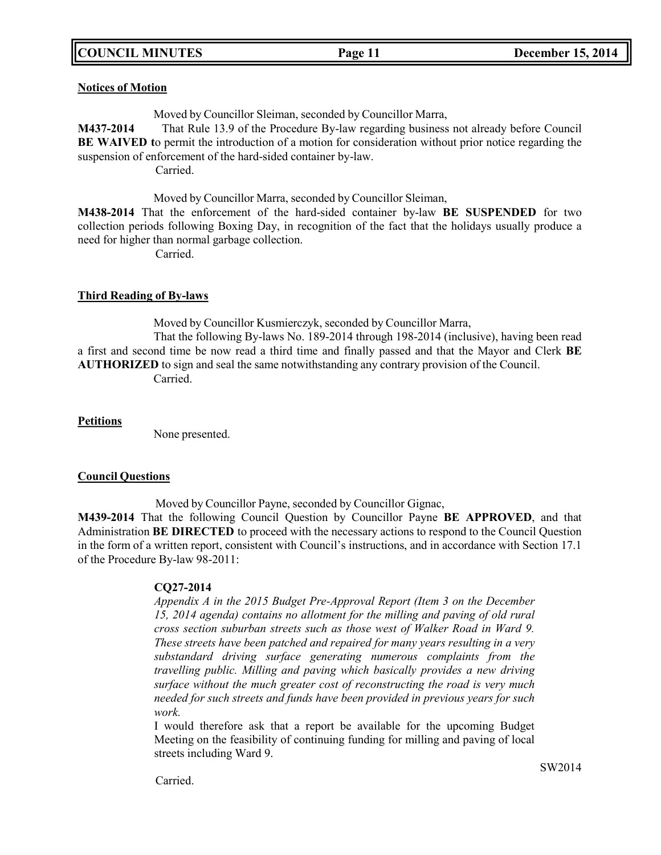## **COUNCIL MINUTES Page 11 December 15, 2014**

### **Notices of Motion**

Moved by Councillor Sleiman, seconded by Councillor Marra,

**M437-2014** That Rule 13.9 of the Procedure By-law regarding business not already before Council **BE WAIVED t**o permit the introduction of a motion for consideration without prior notice regarding the suspension of enforcement of the hard-sided container by-law.

Carried.

Moved by Councillor Marra, seconded by Councillor Sleiman,

**M438-2014** That the enforcement of the hard-sided container by-law **BE SUSPENDED** for two collection periods following Boxing Day, in recognition of the fact that the holidays usually produce a need for higher than normal garbage collection.

Carried.

## **Third Reading of By-laws**

Moved by Councillor Kusmierczyk, seconded by Councillor Marra,

That the following By-laws No. 189-2014 through 198-2014 (inclusive), having been read a first and second time be now read a third time and finally passed and that the Mayor and Clerk **BE AUTHORIZED** to sign and seal the same notwithstanding any contrary provision of the Council. Carried.

**Petitions**

None presented.

#### **Council Questions**

Moved by Councillor Payne, seconded by Councillor Gignac,

**M439-2014** That the following Council Question by Councillor Payne **BE APPROVED**, and that Administration **BE DIRECTED** to proceed with the necessary actions to respond to the Council Question in the form of a written report, consistent with Council's instructions, and in accordance with Section 17.1 of the Procedure By-law 98-2011:

## **CQ27-2014**

*Appendix A in the 2015 Budget Pre-Approval Report (Item 3 on the December 15, 2014 agenda) contains no allotment for the milling and paving of old rural cross section suburban streets such as those west of Walker Road in Ward 9. These streets have been patched and repaired for many years resulting in a very substandard driving surface generating numerous complaints from the travelling public. Milling and paving which basically provides a new driving surface without the much greater cost of reconstructing the road is very much needed for such streets and funds have been provided in previous years for such work.*

I would therefore ask that a report be available for the upcoming Budget Meeting on the feasibility of continuing funding for milling and paving of local streets including Ward 9.

Carried.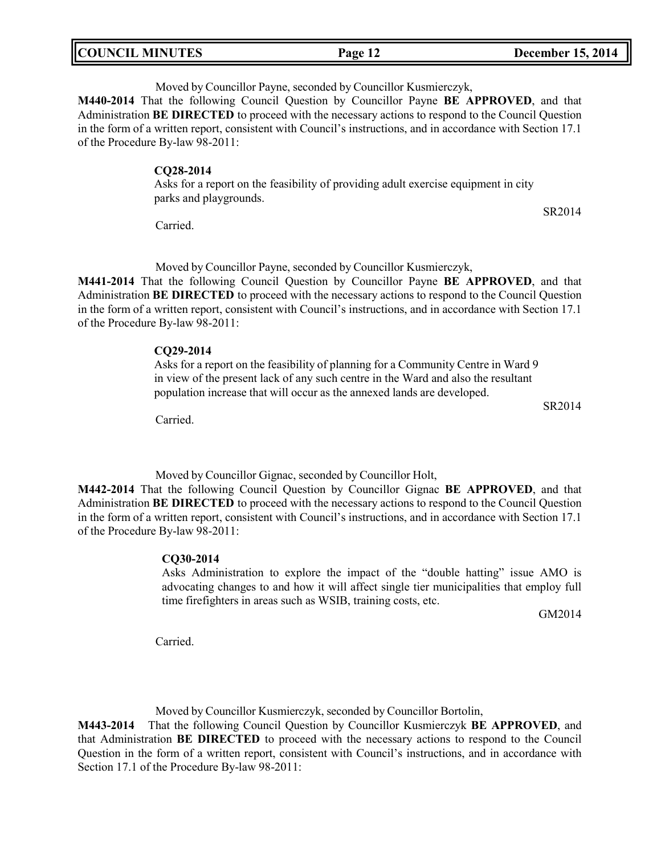| <b>COUNCIL MINUTES</b> | Page 12 | <b>December 15, 2014</b> |
|------------------------|---------|--------------------------|
|                        |         |                          |

Moved by Councillor Payne, seconded by Councillor Kusmierczyk,

**M440-2014** That the following Council Question by Councillor Payne **BE APPROVED**, and that Administration **BE DIRECTED** to proceed with the necessary actions to respond to the Council Question in the form of a written report, consistent with Council's instructions, and in accordance with Section 17.1 of the Procedure By-law 98-2011:

#### **CQ28-2014**

Asks for a report on the feasibility of providing adult exercise equipment in city parks and playgrounds.

Carried.

Moved by Councillor Payne, seconded by Councillor Kusmierczyk,

**M441-2014** That the following Council Question by Councillor Payne **BE APPROVED**, and that Administration **BE DIRECTED** to proceed with the necessary actions to respond to the Council Question in the form of a written report, consistent with Council's instructions, and in accordance with Section 17.1 of the Procedure By-law 98-2011:

#### **CQ29-2014**

Asks for a report on the feasibility of planning for a Community Centre in Ward 9 in view of the present lack of any such centre in the Ward and also the resultant population increase that will occur as the annexed lands are developed.

Carried.

Moved by Councillor Gignac, seconded by Councillor Holt,

**M442-2014** That the following Council Question by Councillor Gignac **BE APPROVED**, and that Administration **BE DIRECTED** to proceed with the necessary actions to respond to the Council Question in the form of a written report, consistent with Council's instructions, and in accordance with Section 17.1 of the Procedure By-law 98-2011:

#### **CQ30-2014**

Asks Administration to explore the impact of the "double hatting" issue AMO is advocating changes to and how it will affect single tier municipalities that employ full time firefighters in areas such as WSIB, training costs, etc.

GM2014

Carried.

Moved by Councillor Kusmierczyk, seconded by Councillor Bortolin,

**M443-2014** That the following Council Question by Councillor Kusmierczyk **BE APPROVED**, and that Administration **BE DIRECTED** to proceed with the necessary actions to respond to the Council Question in the form of a written report, consistent with Council's instructions, and in accordance with Section 17.1 of the Procedure By-law 98-2011:

SR2014

SR2014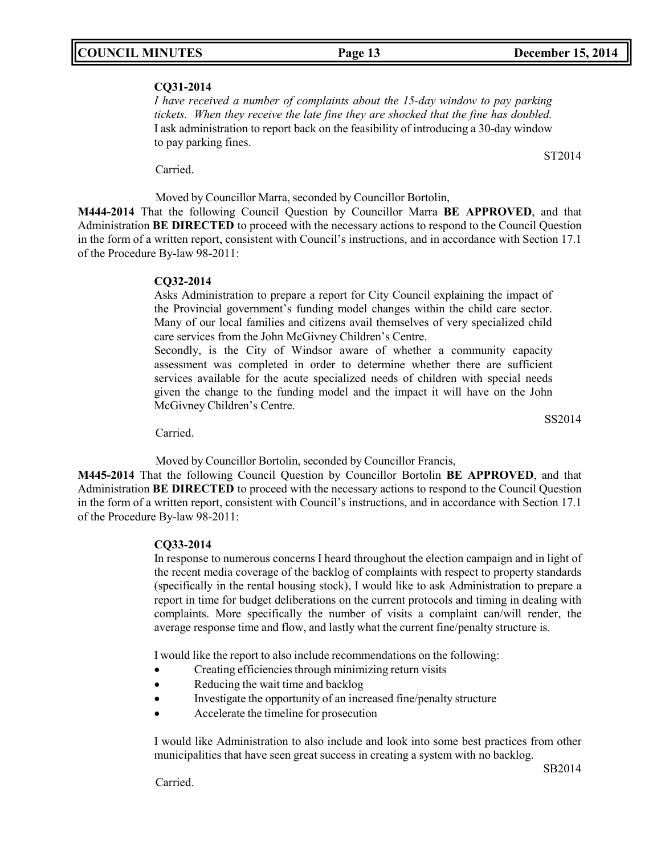## **CQ31-2014**

*I have received a number of complaints about the 15-day window to pay parking tickets. When they receive the late fine they are shocked that the fine has doubled.* I ask administration to report back on the feasibility of introducing a 30-day window to pay parking fines.

Carried.

Moved by Councillor Marra, seconded by Councillor Bortolin,

**M444-2014** That the following Council Question by Councillor Marra **BE APPROVED**, and that Administration **BE DIRECTED** to proceed with the necessary actions to respond to the Council Question in the form of a written report, consistent with Council's instructions, and in accordance with Section 17.1 of the Procedure By-law 98-2011:

## **CQ32-2014**

Asks Administration to prepare a report for City Council explaining the impact of the Provincial government's funding model changes within the child care sector. Many of our local families and citizens avail themselves of very specialized child care services from the John McGivney Children's Centre.

Secondly, is the City of Windsor aware of whether a community capacity assessment was completed in order to determine whether there are sufficient services available for the acute specialized needs of children with special needs given the change to the funding model and the impact it will have on the John McGivney Children's Centre.

SS2014

Carried.

Moved by Councillor Bortolin, seconded by Councillor Francis,

**M445-2014** That the following Council Question by Councillor Bortolin **BE APPROVED**, and that Administration **BE DIRECTED** to proceed with the necessary actions to respond to the Council Question in the form of a written report, consistent with Council's instructions, and in accordance with Section 17.1 of the Procedure By-law 98-2011:

## **CQ33-2014**

In response to numerous concerns I heard throughout the election campaign and in light of the recent media coverage of the backlog of complaints with respect to property standards (specifically in the rental housing stock), I would like to ask Administration to prepare a report in time for budget deliberations on the current protocols and timing in dealing with complaints. More specifically the number of visits a complaint can/will render, the average response time and flow, and lastly what the current fine/penalty structure is.

I would like the report to also include recommendations on the following:

- Creating efficiencies through minimizing return visits
- Reducing the wait time and backlog
- Investigate the opportunity of an increased fine/penalty structure
- Accelerate the timeline for prosecution

I would like Administration to also include and look into some best practices from other municipalities that have seen great success in creating a system with no backlog.

Carried.

ST2014

SB2014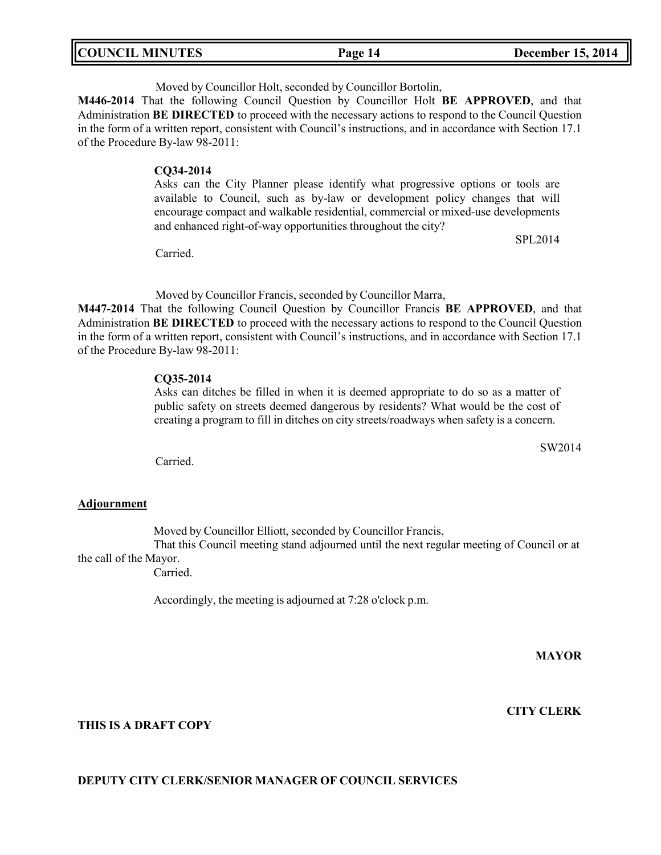| <b>COUNCIL MINUTES</b> | Page 14 | <b>December 15, 2014</b> |
|------------------------|---------|--------------------------|
|                        |         |                          |

Moved by Councillor Holt, seconded by Councillor Bortolin,

**M446-2014** That the following Council Question by Councillor Holt **BE APPROVED**, and that Administration **BE DIRECTED** to proceed with the necessary actions to respond to the Council Question in the form of a written report, consistent with Council's instructions, and in accordance with Section 17.1 of the Procedure By-law 98-2011:

#### **CQ34-2014**

Asks can the City Planner please identify what progressive options or tools are available to Council, such as by-law or development policy changes that will encourage compact and walkable residential, commercial or mixed-use developments and enhanced right-of-way opportunities throughout the city?

Carried.

Moved by Councillor Francis, seconded by Councillor Marra,

**M447-2014** That the following Council Question by Councillor Francis **BE APPROVED**, and that Administration **BE DIRECTED** to proceed with the necessary actions to respond to the Council Question in the form of a written report, consistent with Council's instructions, and in accordance with Section 17.1 of the Procedure By-law 98-2011:

#### **CQ35-2014**

Asks can ditches be filled in when it is deemed appropriate to do so as a matter of public safety on streets deemed dangerous by residents? What would be the cost of creating a program to fill in ditches on city streets/roadways when safety is a concern.

Carried.

## **Adjournment**

Moved by Councillor Elliott, seconded by Councillor Francis,

That this Council meeting stand adjourned until the next regular meeting of Council or at the call of the Mayor.

Carried.

Accordingly, the meeting is adjourned at 7:28 o'clock p.m.

**MAYOR**

SW2014

**CITY CLERK**

## **THIS IS A DRAFT COPY**

## **DEPUTY CITY CLERK/SENIOR MANAGER OF COUNCIL SERVICES**

SPL2014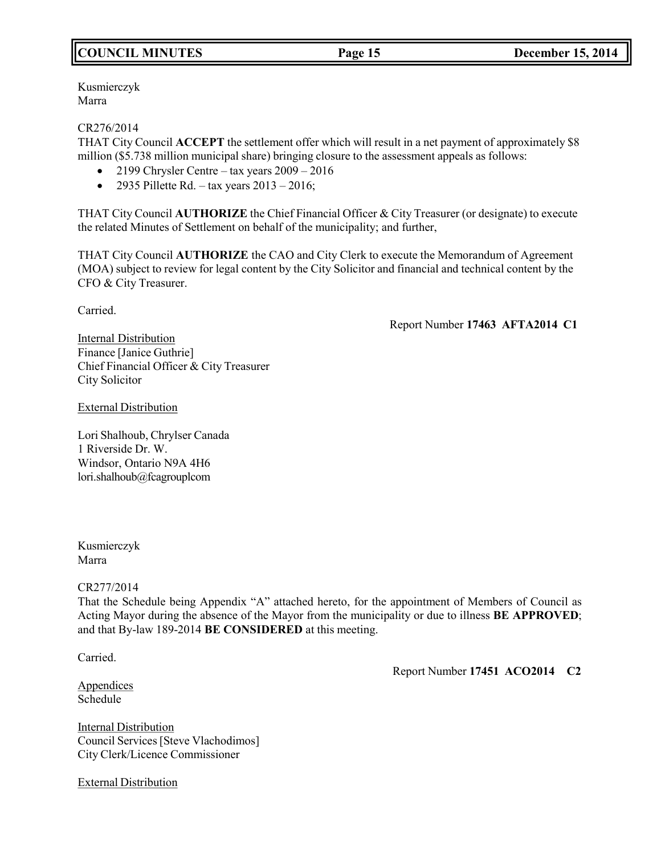## **COUNCIL MINUTES Page 15 December 15, 2014**

## Kusmierczyk Marra

## CR276/2014

THAT City Council **ACCEPT** the settlement offer which will result in a net payment of approximately \$8 million (\$5.738 million municipal share) bringing closure to the assessment appeals as follows:

- 2199 Chrysler Centre tax years 2009 2016
- 2935 Pillette Rd. tax years  $2013 2016$ ;

THAT City Council **AUTHORIZE** the Chief Financial Officer & City Treasurer (or designate) to execute the related Minutes of Settlement on behalf of the municipality; and further,

THAT City Council **AUTHORIZE** the CAO and City Clerk to execute the Memorandum of Agreement (MOA) subject to review for legal content by the City Solicitor and financial and technical content by the CFO & City Treasurer.

Carried.

## Report Number **17463 AFTA2014 C1**

Internal Distribution Finance [Janice Guthrie] Chief Financial Officer & City Treasurer City Solicitor

## External Distribution

Lori Shalhoub, Chrylser Canada 1 Riverside Dr. W. Windsor, Ontario N9A 4H6 lori.shalhoub@fcagrouplcom

Kusmierczyk Marra

## CR277/2014

That the Schedule being Appendix "A" attached hereto, for the appointment of Members of Council as Acting Mayor during the absence of the Mayor from the municipality or due to illness **BE APPROVED**; and that By-law 189-2014 **BE CONSIDERED** at this meeting.

Carried.

Report Number **17451 ACO2014 C2**

Appendices Schedule

**Internal Distribution** Council Services[Steve Vlachodimos] City Clerk/Licence Commissioner

External Distribution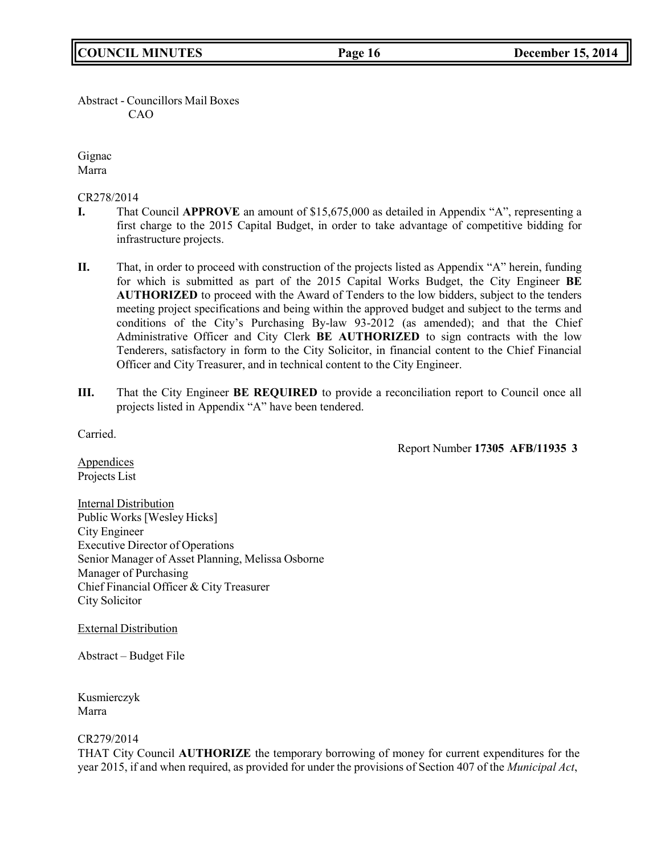Abstract - Councillors Mail Boxes CAO

Gignac Marra

CR278/2014

- **I.** That Council **APPROVE** an amount of \$15,675,000 as detailed in Appendix "A", representing a first charge to the 2015 Capital Budget, in order to take advantage of competitive bidding for infrastructure projects.
- **II.** That, in order to proceed with construction of the projects listed as Appendix "A" herein, funding for which is submitted as part of the 2015 Capital Works Budget, the City Engineer **BE AUTHORIZED** to proceed with the Award of Tenders to the low bidders, subject to the tenders meeting project specifications and being within the approved budget and subject to the terms and conditions of the City's Purchasing By-law 93-2012 (as amended); and that the Chief Administrative Officer and City Clerk **BE AUTHORIZED** to sign contracts with the low Tenderers, satisfactory in form to the City Solicitor, in financial content to the Chief Financial Officer and City Treasurer, and in technical content to the City Engineer.
- **III.** That the City Engineer **BE REQUIRED** to provide a reconciliation report to Council once all projects listed in Appendix "A" have been tendered.

Carried.

Report Number **17305 AFB/11935 3**

**Appendices** Projects List

Internal Distribution Public Works [Wesley Hicks] City Engineer Executive Director of Operations Senior Manager of Asset Planning, Melissa Osborne Manager of Purchasing Chief Financial Officer & City Treasurer City Solicitor

External Distribution

Abstract – Budget File

Kusmierczyk Marra

CR279/2014

THAT City Council **AUTHORIZE** the temporary borrowing of money for current expenditures for the year 2015, if and when required, as provided for under the provisions of Section 407 of the *Municipal Act*,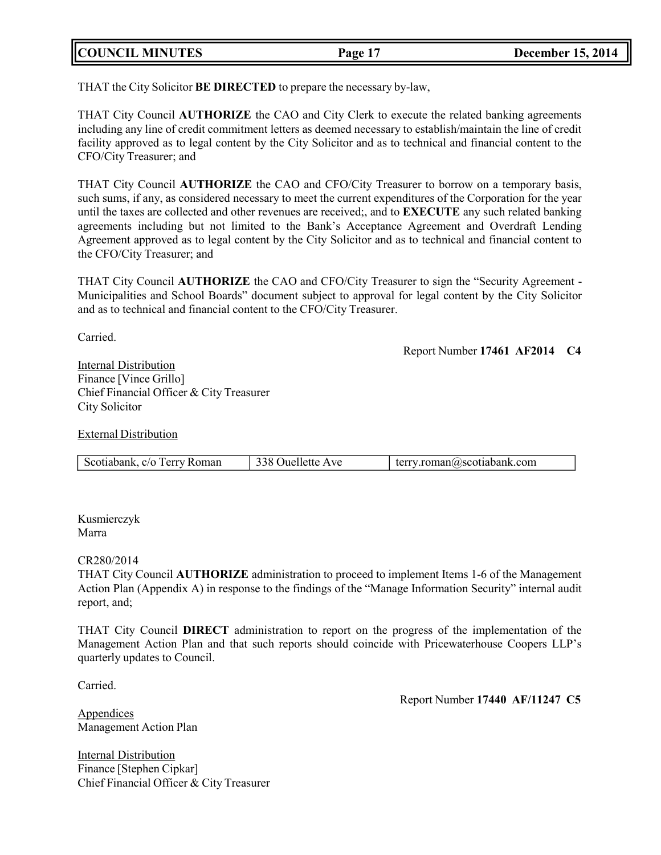| <b>COUNCIL MINUTES</b> | Page 17 | <b>December 15, 2014</b> |
|------------------------|---------|--------------------------|
|                        |         |                          |

THAT the City Solicitor **BE DIRECTED** to prepare the necessary by-law,

THAT City Council **AUTHORIZE** the CAO and City Clerk to execute the related banking agreements including any line of credit commitment letters as deemed necessary to establish/maintain the line of credit facility approved as to legal content by the City Solicitor and as to technical and financial content to the CFO/City Treasurer; and

THAT City Council **AUTHORIZE** the CAO and CFO/City Treasurer to borrow on a temporary basis, such sums, if any, as considered necessary to meet the current expenditures of the Corporation for the year until the taxes are collected and other revenues are received;, and to **EXECUTE** any such related banking agreements including but not limited to the Bank's Acceptance Agreement and Overdraft Lending Agreement approved as to legal content by the City Solicitor and as to technical and financial content to the CFO/City Treasurer; and

THAT City Council **AUTHORIZE** the CAO and CFO/City Treasurer to sign the "Security Agreement - Municipalities and School Boards" document subject to approval for legal content by the City Solicitor and as to technical and financial content to the CFO/City Treasurer.

Carried.

Report Number **17461 AF2014 C4**

Internal Distribution Finance [Vince Grillo] Chief Financial Officer & City Treasurer City Solicitor

External Distribution

| Scotiabank, c/o Terry Roman | 338 Ouellette Ave | terry.roman@scotiabank.com |
|-----------------------------|-------------------|----------------------------|
|-----------------------------|-------------------|----------------------------|

Kusmierczyk Marra

CR280/2014

THAT City Council **AUTHORIZE** administration to proceed to implement Items 1-6 of the Management Action Plan (Appendix A) in response to the findings of the "Manage Information Security" internal audit report, and;

THAT City Council **DIRECT** administration to report on the progress of the implementation of the Management Action Plan and that such reports should coincide with Pricewaterhouse Coopers LLP's quarterly updates to Council.

Carried.

Report Number **17440 AF/11247 C5**

Appendices Management Action Plan

Internal Distribution Finance [Stephen Cipkar] Chief Financial Officer & City Treasurer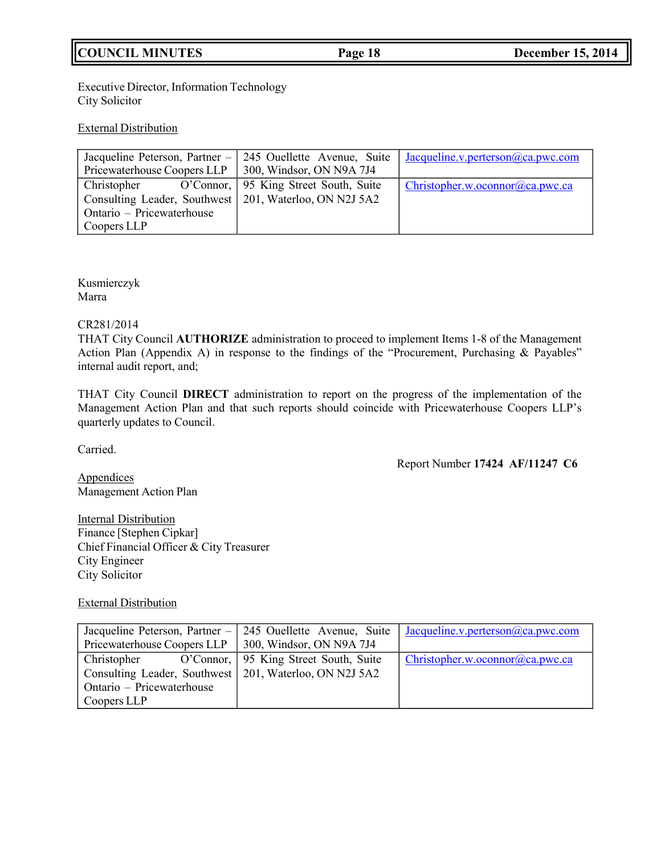## **COUNCIL MINUTES Page 18 December 15, 2014**

Executive Director, Information Technology City Solicitor

## External Distribution

|                                                          | Jacqueline Peterson, Partner - 245 Ouellette Avenue, Suite | Jacqueline.v.perterson $(a)$ ca.pwc.com |
|----------------------------------------------------------|------------------------------------------------------------|-----------------------------------------|
| Pricewaterhouse Coopers LLP                              | 300, Windsor, ON N9A 7J4                                   |                                         |
| Christopher O'Connor, 95 King Street South, Suite        |                                                            | Christopher.w.oconnor@ca.pwc.ca         |
| Consulting Leader, Southwest   201, Waterloo, ON N2J 5A2 |                                                            |                                         |
| Ontario – Pricewaterhouse                                |                                                            |                                         |
| Coopers LLP                                              |                                                            |                                         |

Kusmierczyk Marra

#### CR281/2014

THAT City Council **AUTHORIZE** administration to proceed to implement Items 1-8 of the Management Action Plan (Appendix A) in response to the findings of the "Procurement, Purchasing & Payables" internal audit report, and;

THAT City Council **DIRECT** administration to report on the progress of the implementation of the Management Action Plan and that such reports should coincide with Pricewaterhouse Coopers LLP's quarterly updates to Council.

Carried.

## Report Number **17424 AF/11247 C6**

**Appendices** Management Action Plan

**Internal Distribution** Finance [Stephen Cipkar] Chief Financial Officer & City Treasurer City Engineer City Solicitor

## External Distribution

|                                                          | Jacqueline Peterson, Partner – 245 Ouellette Avenue, Suite | Jacqueline.v.perterson $@ca.pwc.com$ |
|----------------------------------------------------------|------------------------------------------------------------|--------------------------------------|
| Pricewaterhouse Coopers LLP   300, Windsor, ON N9A 7J4   |                                                            |                                      |
| Christopher O'Connor, 95 King Street South, Suite        |                                                            | Christopher.w. oconnor @ca.pwc.ca    |
| Consulting Leader, Southwest   201, Waterloo, ON N2J 5A2 |                                                            |                                      |
| Ontario – Pricewaterhouse                                |                                                            |                                      |
| Coopers LLP                                              |                                                            |                                      |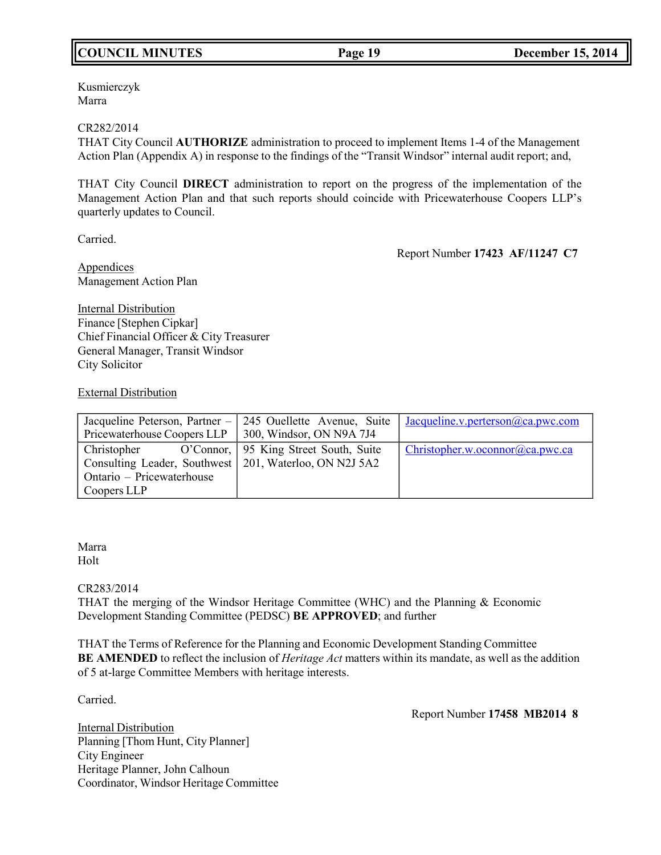## **COUNCIL MINUTES Page 19 December 15, 2014**

Kusmierczyk Marra

#### CR282/2014

THAT City Council **AUTHORIZE** administration to proceed to implement Items 1-4 of the Management Action Plan (Appendix A) in response to the findings of the "Transit Windsor" internal audit report; and,

THAT City Council **DIRECT** administration to report on the progress of the implementation of the Management Action Plan and that such reports should coincide with Pricewaterhouse Coopers LLP's quarterly updates to Council.

Carried.

Report Number **17423 AF/11247 C7**

Appendices Management Action Plan

Internal Distribution Finance [Stephen Cipkar] Chief Financial Officer & City Treasurer General Manager, Transit Windsor City Solicitor

External Distribution

|                                                          | Jacqueline Peterson, Partner – 245 Ouellette Avenue, Suite Jacqueline.v.perterson@ca.pwc.com |
|----------------------------------------------------------|----------------------------------------------------------------------------------------------|
| Pricewaterhouse Coopers LLP   300, Windsor, ON N9A 7J4   |                                                                                              |
| Christopher O'Connor, 95 King Street South, Suite        | Christopher.w.oconnor@ca.pwc.ca                                                              |
| Consulting Leader, Southwest   201, Waterloo, ON N2J 5A2 |                                                                                              |
| Ontario – Pricewaterhouse                                |                                                                                              |
| Coopers LLP                                              |                                                                                              |

Marra Holt

## CR283/2014

THAT the merging of the Windsor Heritage Committee (WHC) and the Planning & Economic Development Standing Committee (PEDSC) **BE APPROVED**; and further

THAT the Terms of Reference for the Planning and Economic Development Standing Committee **BE AMENDED** to reflect the inclusion of *Heritage Act* matters within its mandate, as well as the addition of 5 at-large Committee Members with heritage interests.

Carried.

Report Number **17458 MB2014 8**

Internal Distribution Planning [Thom Hunt, City Planner] City Engineer Heritage Planner, John Calhoun Coordinator, Windsor Heritage Committee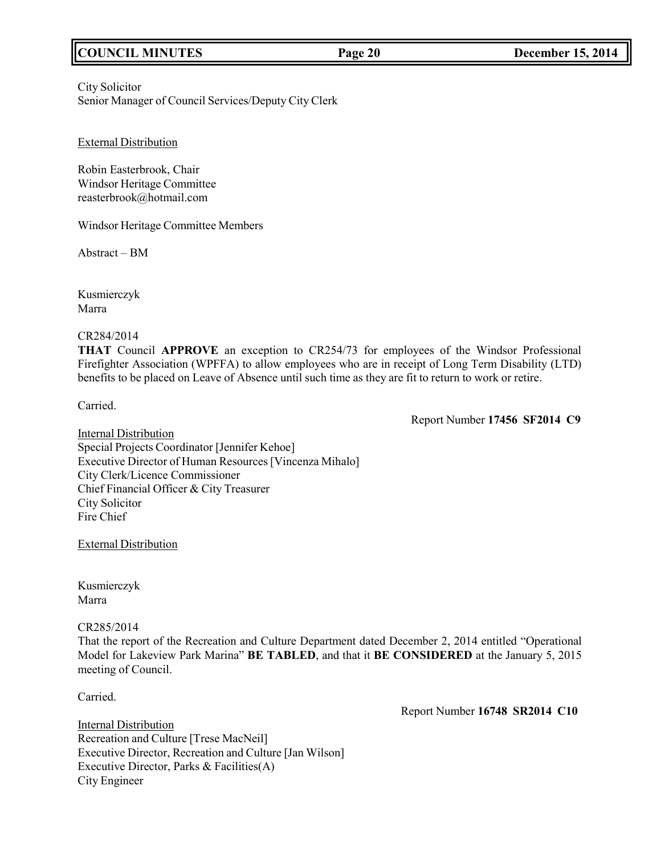## **COUNCIL MINUTES Page 20 December 15, 2014**

City Solicitor Senior Manager of Council Services/Deputy City Clerk

External Distribution

Robin Easterbrook, Chair Windsor Heritage Committee [reasterbrook@hotmail.com](mailto:reasterbrook@hotmail.com)

Windsor Heritage Committee Members

Abstract – BM

Kusmierczyk Marra

CR284/2014

**THAT** Council **APPROVE** an exception to CR254/73 for employees of the Windsor Professional Firefighter Association (WPFFA) to allow employees who are in receipt of Long Term Disability (LTD) benefits to be placed on Leave of Absence until such time as they are fit to return to work or retire.

Carried.

Report Number **17456 SF2014 C9**

**Internal Distribution** Special Projects Coordinator [Jennifer Kehoe] Executive Director of Human Resources[Vincenza Mihalo] City Clerk/Licence Commissioner Chief Financial Officer & City Treasurer City Solicitor Fire Chief

External Distribution

Kusmierczyk Marra

CR285/2014

That the report of the Recreation and Culture Department dated December 2, 2014 entitled "Operational Model for Lakeview Park Marina" **BE TABLED**, and that it **BE CONSIDERED** at the January 5, 2015 meeting of Council.

Carried.

Report Number **16748 SR2014 C10**

**Internal Distribution** Recreation and Culture [Trese MacNeil] Executive Director, Recreation and Culture [Jan Wilson] Executive Director, Parks & Facilities(A) City Engineer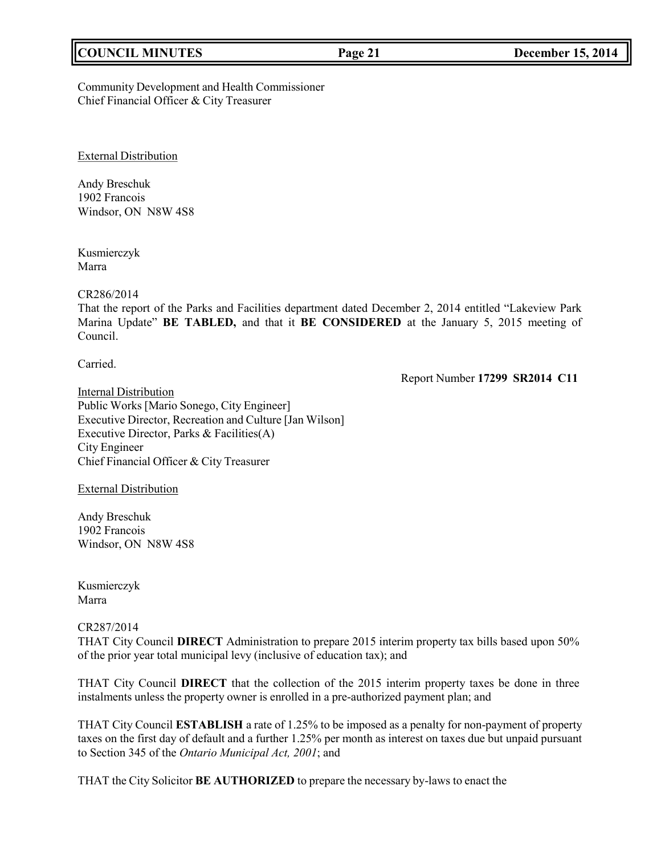## **COUNCIL MINUTES Page 21 December 15, 2014**

Community Development and Health Commissioner Chief Financial Officer & City Treasurer

External Distribution

Andy Breschuk 1902 Francois Windsor, ON N8W 4S8

Kusmierczyk Marra

CR286/2014

That the report of the Parks and Facilities department dated December 2, 2014 entitled "Lakeview Park Marina Update" **BE TABLED,** and that it **BE CONSIDERED** at the January 5, 2015 meeting of Council.

Carried.

Report Number **17299 SR2014 C11**

**Internal Distribution** Public Works [Mario Sonego, City Engineer] Executive Director, Recreation and Culture [Jan Wilson] Executive Director, Parks & Facilities(A) City Engineer Chief Financial Officer & City Treasurer

External Distribution

Andy Breschuk 1902 Francois Windsor, ON N8W 4S8

Kusmierczyk Marra

## CR287/2014

THAT City Council **DIRECT** Administration to prepare 2015 interim property tax bills based upon 50% of the prior year total municipal levy (inclusive of education tax); and

THAT City Council **DIRECT** that the collection of the 2015 interim property taxes be done in three instalments unless the property owner is enrolled in a pre-authorized payment plan; and

THAT City Council **ESTABLISH** a rate of 1.25% to be imposed as a penalty for non-payment of property taxes on the first day of default and a further 1.25% per month as interest on taxes due but unpaid pursuant to Section 345 of the *Ontario Municipal Act, 2001*; and

THAT the City Solicitor **BE AUTHORIZED** to prepare the necessary by-laws to enact the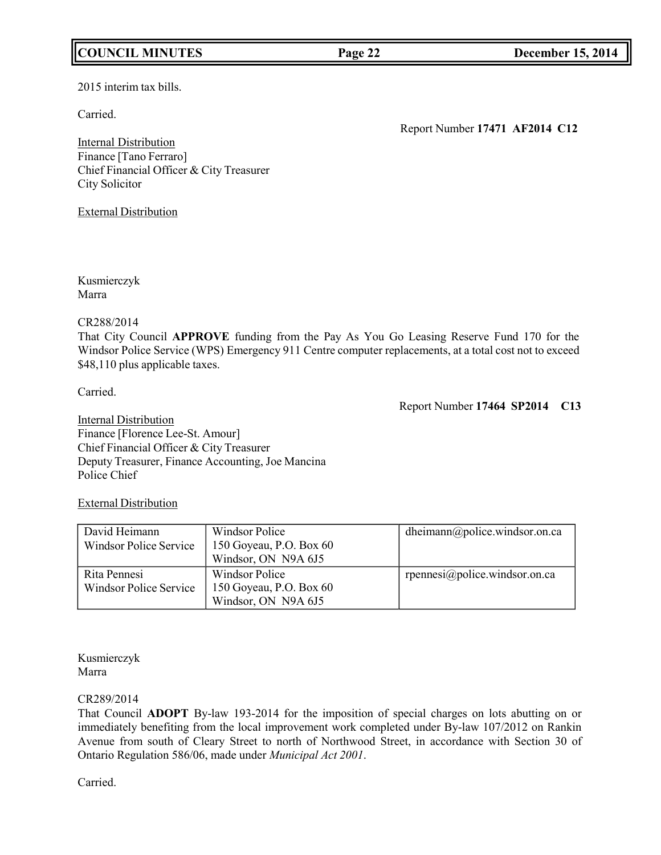## **COUNCIL MINUTES Page 22 December 15, 2014**

2015 interim tax bills.

Carried.

Report Number **17471 AF2014 C12**

Internal Distribution Finance [Tano Ferraro] Chief Financial Officer & City Treasurer City Solicitor

External Distribution

Kusmierczyk Marra

## CR288/2014

That City Council **APPROVE** funding from the Pay As You Go Leasing Reserve Fund 170 for the Windsor Police Service (WPS) Emergency 911 Centre computer replacements, at a total cost not to exceed \$48,110 plus applicable taxes.

Carried.

Report Number **17464 SP2014 C13**

Internal Distribution Finance [Florence Lee-St. Amour] Chief Financial Officer & City Treasurer Deputy Treasurer, Finance Accounting, Joe Mancina Police Chief

## External Distribution

| David Heimann<br>Windsor Police Service       | Windsor Police<br>150 Goyeau, P.O. Box 60<br>Windsor, ON N9A 6J5 | dheimann@police.windsor.on.ca |
|-----------------------------------------------|------------------------------------------------------------------|-------------------------------|
| Rita Pennesi<br><b>Windsor Police Service</b> | Windsor Police<br>150 Goyeau, P.O. Box 60<br>Windsor, ON N9A 6J5 | rpennesi@police.windsor.on.ca |

Kusmierczyk Marra

## CR289/2014

That Council **ADOPT** By-law 193-2014 for the imposition of special charges on lots abutting on or immediately benefiting from the local improvement work completed under By-law 107/2012 on Rankin Avenue from south of Cleary Street to north of Northwood Street, in accordance with Section 30 of Ontario Regulation 586/06, made under *Municipal Act 2001*.

Carried.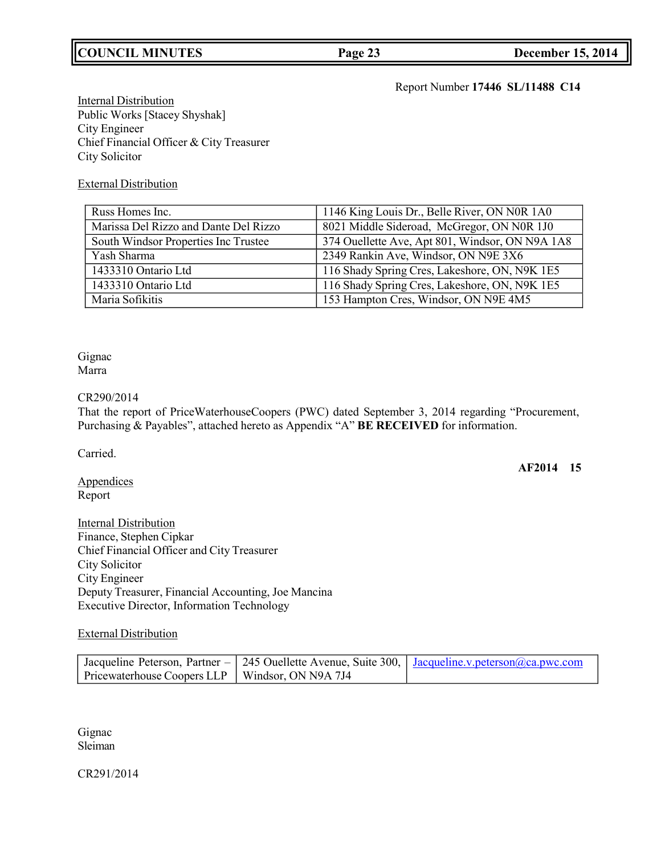## **COUNCIL MINUTES Page 23 December 15, 2014**

## Report Number **17446 SL/11488 C14**

**Internal Distribution** Public Works [Stacey Shyshak] City Engineer Chief Financial Officer & City Treasurer City Solicitor

## External Distribution

| Russ Homes Inc.                       | 1146 King Louis Dr., Belle River, ON N0R 1A0    |
|---------------------------------------|-------------------------------------------------|
| Marissa Del Rizzo and Dante Del Rizzo | 8021 Middle Sideroad, McGregor, ON N0R 1J0      |
| South Windsor Properties Inc Trustee  | 374 Ouellette Ave, Apt 801, Windsor, ON N9A 1A8 |
| Yash Sharma                           | 2349 Rankin Ave, Windsor, ON N9E 3X6            |
| 1433310 Ontario Ltd                   | 116 Shady Spring Cres, Lakeshore, ON, N9K 1E5   |
| 1433310 Ontario Ltd                   | 116 Shady Spring Cres, Lakeshore, ON, N9K 1E5   |
| Maria Sofikitis                       | 153 Hampton Cres, Windsor, ON N9E 4M5           |

Gignac Marra

## CR290/2014

That the report of PriceWaterhouseCoopers (PWC) dated September 3, 2014 regarding "Procurement, Purchasing & Payables", attached hereto as Appendix "A" **BE RECEIVED** for information.

Carried.

**AF2014 15**

**Appendices** Report

Internal Distribution Finance, Stephen Cipkar Chief Financial Officer and City Treasurer City Solicitor City Engineer Deputy Treasurer, Financial Accounting, Joe Mancina Executive Director, Information Technology

## External Distribution

|                                                   | Jacqueline Peterson, Partner – 245 Ouellette Avenue, Suite 300, Jacqueline v. peterson@ca.pwc.com |
|---------------------------------------------------|---------------------------------------------------------------------------------------------------|
| Pricewaterhouse Coopers LLP   Windsor, ON N9A 7J4 |                                                                                                   |

Gignac Sleiman

CR291/2014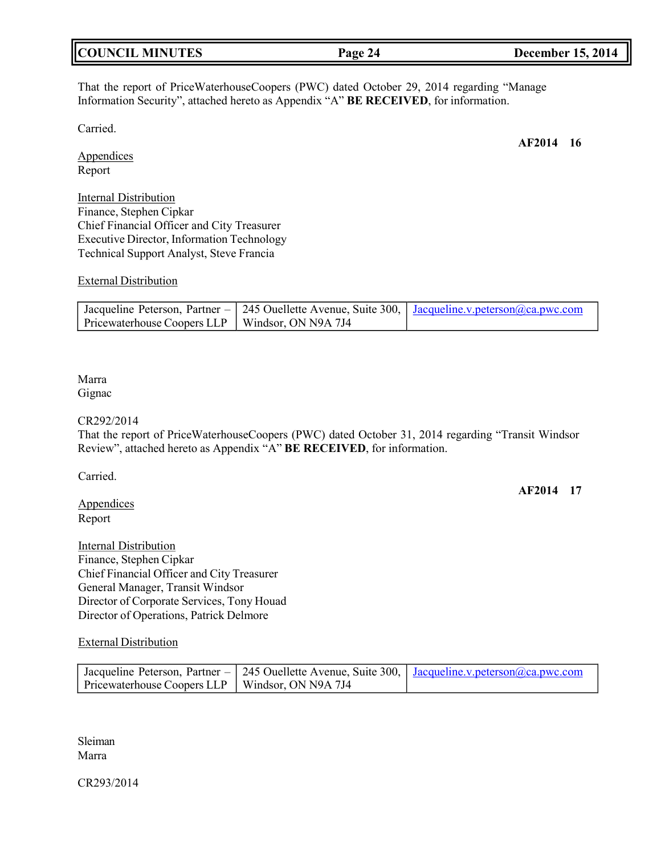| <b>COUNCIL MINUTES</b> | Page 24 | <b>December 15, 2014</b> |
|------------------------|---------|--------------------------|
|                        |         |                          |

That the report of PriceWaterhouseCoopers (PWC) dated October 29, 2014 regarding "Manage Information Security", attached hereto as Appendix "A" **BE RECEIVED**, for information.

Carried.

**AF2014 16**

**Appendices** Report

Internal Distribution Finance, Stephen Cipkar Chief Financial Officer and City Treasurer Executive Director, Information Technology Technical Support Analyst, Steve Francia

## External Distribution

|                                                   | Jacqueline Peterson, Partner – 245 Ouellette Avenue, Suite 300, Jacqueline.v.peterson@ca.pwc.com |
|---------------------------------------------------|--------------------------------------------------------------------------------------------------|
| Pricewaterhouse Coopers LLP   Windsor, ON N9A 7J4 |                                                                                                  |

#### Marra Gignac

#### CR292/2014

That the report of PriceWaterhouseCoopers (PWC) dated October 31, 2014 regarding "Transit Windsor Review", attached hereto as Appendix "A" **BE RECEIVED**, for information.

Carried.

**Appendices** Report

**AF2014 17**

Internal Distribution Finance, Stephen Cipkar Chief Financial Officer and City Treasurer General Manager, Transit Windsor Director of Corporate Services, Tony Houad Director of Operations, Patrick Delmore

### External Distribution

|                                                   | Jacqueline Peterson, Partner – 245 Ouellette Avenue, Suite 300, Jacqueline.v.peterson@ca.pwc.com |
|---------------------------------------------------|--------------------------------------------------------------------------------------------------|
| Pricewaterhouse Coopers LLP   Windsor, ON N9A 7J4 |                                                                                                  |

Sleiman Marra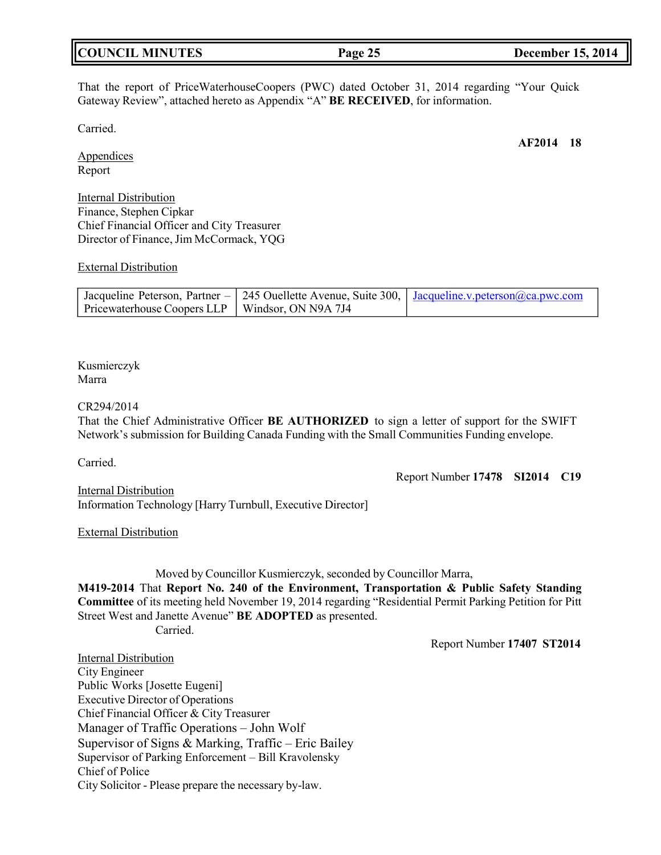| <b>COUNCIL MINUTES</b> | Page 25 | <b>December 15, 2014</b> |
|------------------------|---------|--------------------------|
|------------------------|---------|--------------------------|

That the report of PriceWaterhouseCoopers (PWC) dated October 31, 2014 regarding "Your Quick Gateway Review", attached hereto as Appendix "A" **BE RECEIVED**, for information.

Carried.

Appendices Report

Internal Distribution Finance, Stephen Cipkar Chief Financial Officer and City Treasurer Director of Finance, Jim McCormack, YQG

#### External Distribution

|                                                   | Jacqueline Peterson, Partner – 245 Ouellette Avenue, Suite 300, Jacqueline.v.peterson@ca.pwc.com |
|---------------------------------------------------|--------------------------------------------------------------------------------------------------|
| Pricewaterhouse Coopers LLP   Windsor, ON N9A 7J4 |                                                                                                  |

Kusmierczyk Marra

#### CR294/2014

That the Chief Administrative Officer **BE AUTHORIZED** to sign a letter of support for the SWIFT Network's submission for Building Canada Funding with the Small Communities Funding envelope.

Carried.

Report Number **17478 SI2014 C19**

Internal Distribution Information Technology [Harry Turnbull, Executive Director]

External Distribution

Moved by Councillor Kusmierczyk, seconded by Councillor Marra,

**M419-2014** That **Report No. 240 of the Environment, Transportation & Public Safety Standing Committee** of its meeting held November 19, 2014 regarding "Residential Permit Parking Petition for Pitt Street West and Janette Avenue" **BE ADOPTED** as presented. Carried.

Report Number **17407 ST2014**

Internal Distribution City Engineer Public Works [Josette Eugeni] Executive Director of Operations Chief Financial Officer & City Treasurer Manager of Traffic Operations – John Wolf Supervisor of Signs & Marking, Traffic – Eric Bailey Supervisor of Parking Enforcement – Bill Kravolensky Chief of Police City Solicitor - Please prepare the necessary by-law.

**AF2014 18**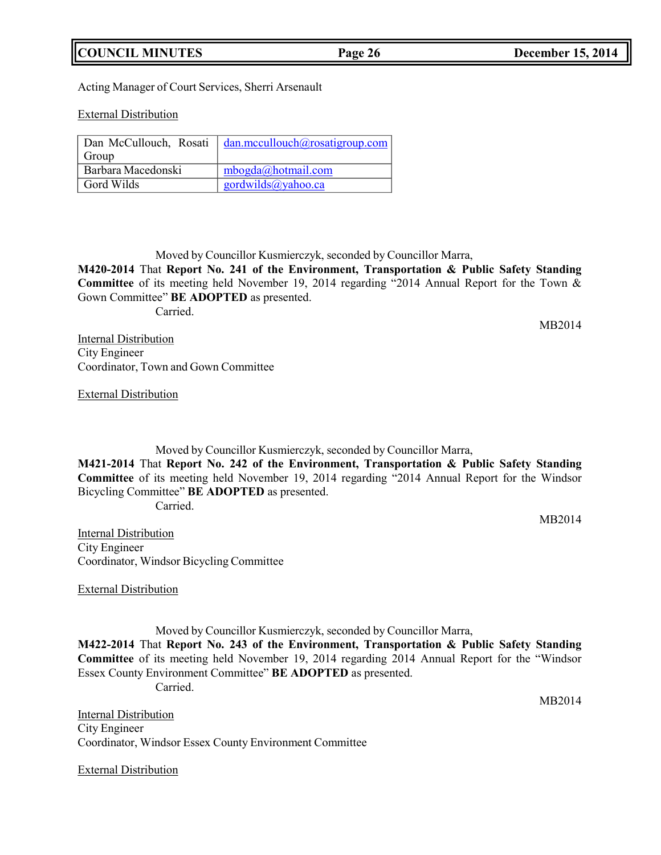## **COUNCIL MINUTES Page 26 December 15, 2014**

Acting Manager of Court Services, Sherri Arsenault

External Distribution

| Dan McCullouch, Rosati | dan.mccullouch@rosatigroup.com |
|------------------------|--------------------------------|
| Group                  |                                |
| Barbara Macedonski     | mbogda@hotmail.com             |
| Gord Wilds             | gordwilds@yahoo.ca             |

Moved by Councillor Kusmierczyk, seconded by Councillor Marra,

**M420-2014** That **Report No. 241 of the Environment, Transportation & Public Safety Standing Committee** of its meeting held November 19, 2014 regarding "2014 Annual Report for the Town & Gown Committee" **BE ADOPTED** as presented.

Carried.

MB2014

Internal Distribution City Engineer Coordinator, Town and Gown Committee

External Distribution

Moved by Councillor Kusmierczyk, seconded by Councillor Marra,

**M421-2014** That **Report No. 242 of the Environment, Transportation & Public Safety Standing Committee** of its meeting held November 19, 2014 regarding "2014 Annual Report for the Windsor Bicycling Committee" **BE ADOPTED** as presented.

Carried.

MB2014

**Internal Distribution** City Engineer Coordinator, Windsor Bicycling Committee

External Distribution

Moved by Councillor Kusmierczyk, seconded by Councillor Marra, **M422-2014** That **Report No. 243 of the Environment, Transportation & Public Safety Standing Committee** of its meeting held November 19, 2014 regarding 2014 Annual Report for the "Windsor Essex County Environment Committee" **BE ADOPTED** as presented. Carried.

Internal Distribution City Engineer Coordinator, Windsor Essex County Environment Committee

External Distribution

MB2014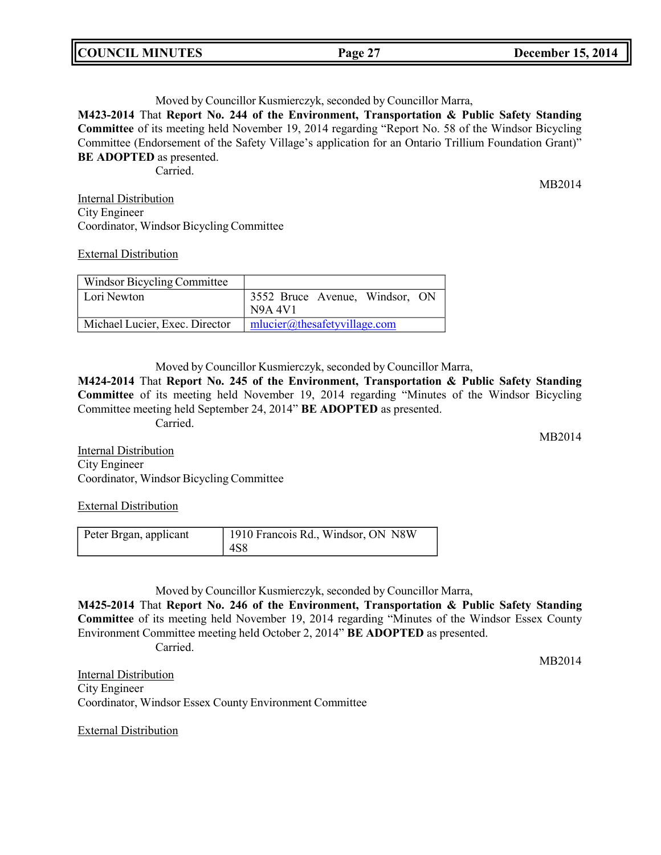| <b>COUNCIL MINUTES</b> | Page 27 | <b>December 15, 2014</b> |
|------------------------|---------|--------------------------|
|                        |         |                          |

Moved by Councillor Kusmierczyk, seconded by Councillor Marra,

**M423-2014** That **Report No. 244 of the Environment, Transportation & Public Safety Standing Committee** of its meeting held November 19, 2014 regarding "Report No. 58 of the Windsor Bicycling Committee (Endorsement of the Safety Village's application for an Ontario Trillium Foundation Grant)" **BE ADOPTED** as presented.

Carried.

MB2014

Internal Distribution City Engineer Coordinator, Windsor Bicycling Committee

External Distribution

| Windsor Bicycling Committee    |                                                  |
|--------------------------------|--------------------------------------------------|
| Lori Newton                    | 3552 Bruce Avenue, Windsor, ON<br><b>N9A 4V1</b> |
| Michael Lucier, Exec. Director | mlucier@the safetyvillage.com                    |

Moved by Councillor Kusmierczyk, seconded by Councillor Marra,

**M424-2014** That **Report No. 245 of the Environment, Transportation & Public Safety Standing Committee** of its meeting held November 19, 2014 regarding "Minutes of the Windsor Bicycling Committee meeting held September 24, 2014" **BE ADOPTED** as presented. Carried.

**Internal Distribution** City Engineer Coordinator, Windsor Bicycling Committee

External Distribution

| Peter Brgan, applicant | 1910 Francois Rd., Windsor, ON N8W |
|------------------------|------------------------------------|
|                        | 4S8                                |

Moved by Councillor Kusmierczyk, seconded by Councillor Marra,

**M425-2014** That **Report No. 246 of the Environment, Transportation & Public Safety Standing Committee** of its meeting held November 19, 2014 regarding "Minutes of the Windsor Essex County Environment Committee meeting held October 2, 2014" **BE ADOPTED** as presented.

Carried.

MB2014

Internal Distribution City Engineer Coordinator, Windsor Essex County Environment Committee

External Distribution

MB2014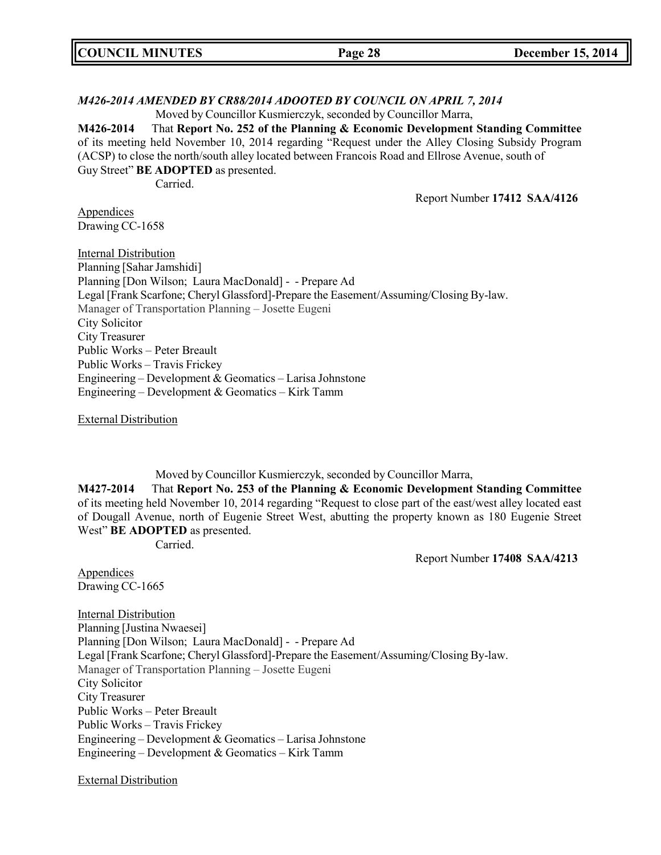| <b>COUNCIL MINUTES</b><br><b>December 15, 2014</b><br>Page 28 |
|---------------------------------------------------------------|
|---------------------------------------------------------------|

#### *M426-2014 AMENDED BY CR88/2014 ADOOTED BY COUNCIL ON APRIL 7, 2014*

Moved by Councillor Kusmierczyk, seconded by Councillor Marra,

**M426-2014** That **Report No. 252 of the Planning & Economic Development Standing Committee** of its meeting held November 10, 2014 regarding "Request under the Alley Closing Subsidy Program (ACSP) to close the north/south alley located between Francois Road and Ellrose Avenue, south of Guy Street" **BE ADOPTED** as presented.

Carried.

Report Number **17412 SAA/4126**

**Appendices** Drawing CC-1658

Internal Distribution Planning [Sahar Jamshidi] Planning [Don Wilson; Laura MacDonald] - - Prepare Ad Legal [Frank Scarfone; Cheryl Glassford]-Prepare the Easement/Assuming/Closing By-law. Manager of Transportation Planning – Josette Eugeni City Solicitor City Treasurer Public Works – Peter Breault Public Works – Travis Frickey Engineering – Development & Geomatics – Larisa Johnstone Engineering – Development & Geomatics – Kirk Tamm

External Distribution

Moved by Councillor Kusmierczyk, seconded by Councillor Marra,

**M427-2014** That **Report No. 253 of the Planning & Economic Development Standing Committee** of its meeting held November 10, 2014 regarding "Request to close part of the east/west alley located east of Dougall Avenue, north of Eugenie Street West, abutting the property known as 180 Eugenie Street West" **BE ADOPTED** as presented.

Carried.

Report Number **17408 SAA/4213**

Appendices Drawing CC-1665

Internal Distribution Planning [Justina Nwaesei] Planning [Don Wilson; Laura MacDonald] - - Prepare Ad Legal [Frank Scarfone; Cheryl Glassford]-Prepare the Easement/Assuming/Closing By-law. Manager of Transportation Planning – Josette Eugeni City Solicitor City Treasurer Public Works – Peter Breault Public Works – Travis Frickey Engineering – Development & Geomatics – Larisa Johnstone Engineering – Development & Geomatics – Kirk Tamm

External Distribution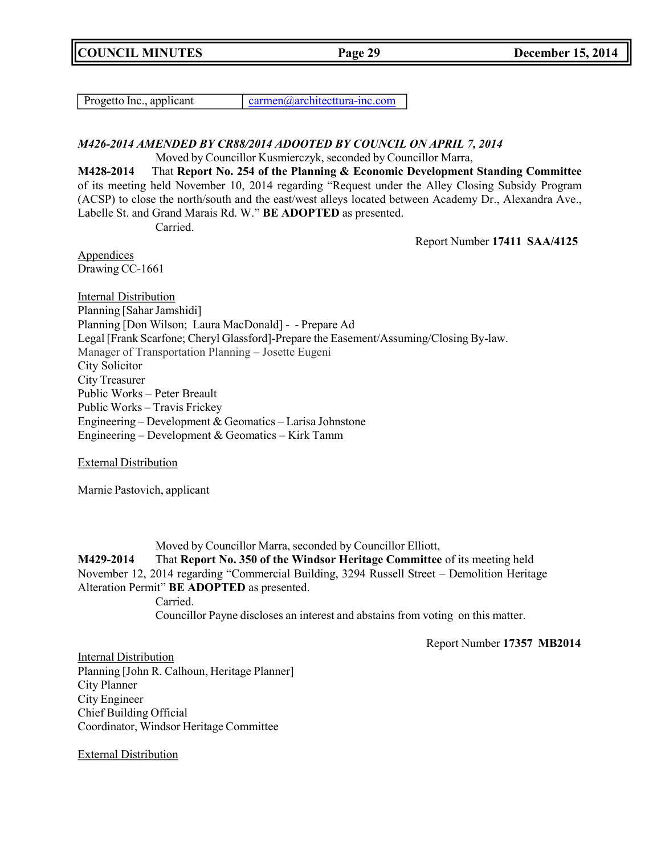**COUNCIL MINUTES Page 29 December 15, 2014**

Progetto Inc., applicant [carmen@architecttura-inc.com](mailto:carmen@architecttura-inc.com)

## *M426-2014 AMENDED BY CR88/2014 ADOOTED BY COUNCIL ON APRIL 7, 2014* Moved by Councillor Kusmierczyk, seconded by Councillor Marra,

**M428-2014** That **Report No. 254 of the Planning & Economic Development Standing Committee** of its meeting held November 10, 2014 regarding "Request under the Alley Closing Subsidy Program (ACSP) to close the north/south and the east/west alleys located between Academy Dr., Alexandra Ave., Labelle St. and Grand Marais Rd. W." **BE ADOPTED** as presented.

Carried.

Report Number **17411 SAA/4125**

**Appendices** Drawing CC-1661

Internal Distribution Planning [Sahar Jamshidi] Planning [Don Wilson; Laura MacDonald] - - Prepare Ad Legal [Frank Scarfone; Cheryl Glassford]-Prepare the Easement/Assuming/Closing By-law. Manager of Transportation Planning – Josette Eugeni City Solicitor City Treasurer Public Works – Peter Breault Public Works – Travis Frickey Engineering – Development & Geomatics – Larisa Johnstone Engineering – Development & Geomatics – Kirk Tamm

External Distribution

Marnie Pastovich, applicant

Moved by Councillor Marra, seconded by Councillor Elliott,

**M429-2014** That **Report No. 350 of the Windsor Heritage Committee** of its meeting held November 12, 2014 regarding "Commercial Building, 3294 Russell Street – Demolition Heritage Alteration Permit" **BE ADOPTED** as presented.

Carried.

Councillor Payne discloses an interest and abstains from voting on this matter.

Report Number **17357 MB2014**

Internal Distribution Planning [John R. Calhoun, Heritage Planner] City Planner City Engineer Chief Building Official Coordinator, Windsor Heritage Committee

External Distribution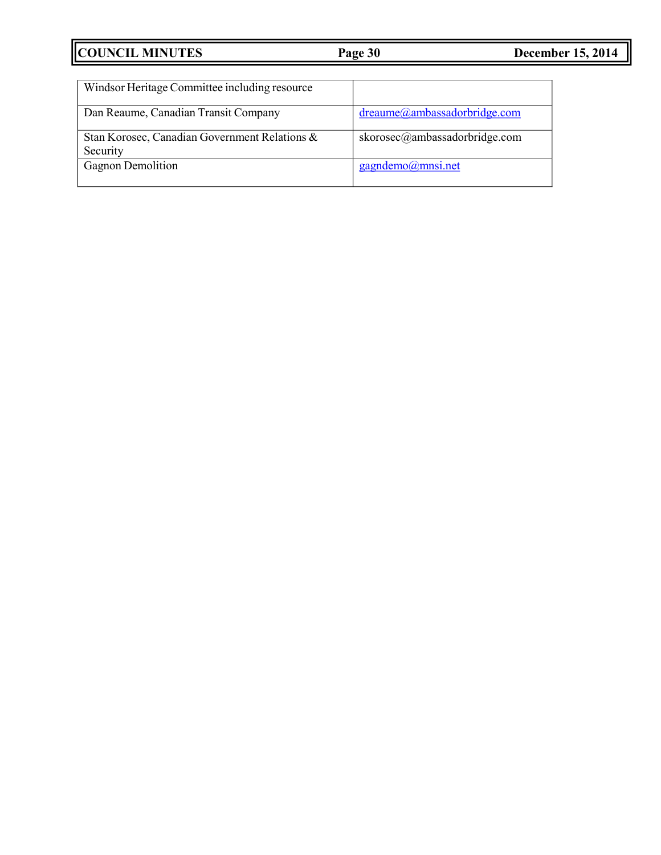| Windsor Heritage Committee including resource             |                               |
|-----------------------------------------------------------|-------------------------------|
| Dan Reaume, Canadian Transit Company                      | dreaume@ambassadorbridge.com  |
| Stan Korosec, Canadian Government Relations &<br>Security | skorosec@ambassadorbridge.com |
| <b>Gagnon Demolition</b>                                  | gagndemo@mnsi.net             |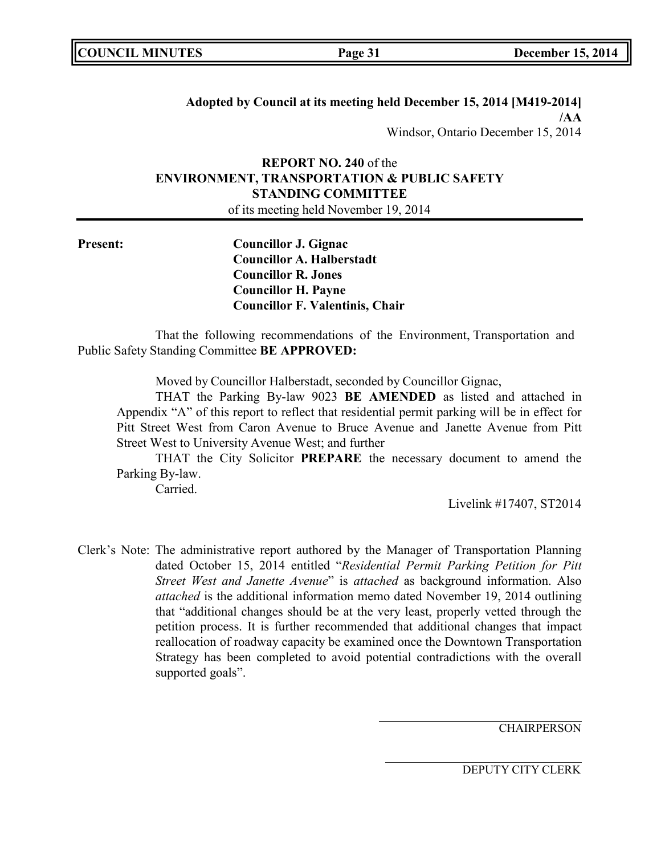|  | <b>COUNCIL MINUTES</b> |
|--|------------------------|
|--|------------------------|

**Adopted by Council at its meeting held December 15, 2014 [M419-2014] /AA** Windsor, Ontario December 15, 2014

# **REPORT NO. 240** of the **ENVIRONMENT, TRANSPORTATION & PUBLIC SAFETY STANDING COMMITTEE**

of its meeting held November 19, 2014

**Present: Councillor J. Gignac Councillor A. Halberstadt Councillor R. Jones Councillor H. Payne Councillor F. Valentinis, Chair**

That the following recommendations of the Environment, Transportation and Public Safety Standing Committee **BE APPROVED:**

Moved by Councillor Halberstadt, seconded by Councillor Gignac,

THAT the Parking By-law 9023 **BE AMENDED** as listed and attached in Appendix "A" of this report to reflect that residential permit parking will be in effect for Pitt Street West from Caron Avenue to Bruce Avenue and Janette Avenue from Pitt Street West to University Avenue West; and further

THAT the City Solicitor **PREPARE** the necessary document to amend the Parking By-law.

Carried.

Livelink #17407, ST2014

Clerk's Note: The administrative report authored by the Manager of Transportation Planning dated October 15, 2014 entitled "*Residential Permit Parking Petition for Pitt Street West and Janette Avenue*" is *attached* as background information. Also *attached* is the additional information memo dated November 19, 2014 outlining that "additional changes should be at the very least, properly vetted through the petition process. It is further recommended that additional changes that impact reallocation of roadway capacity be examined once the Downtown Transportation Strategy has been completed to avoid potential contradictions with the overall supported goals".

**CHAIRPERSON**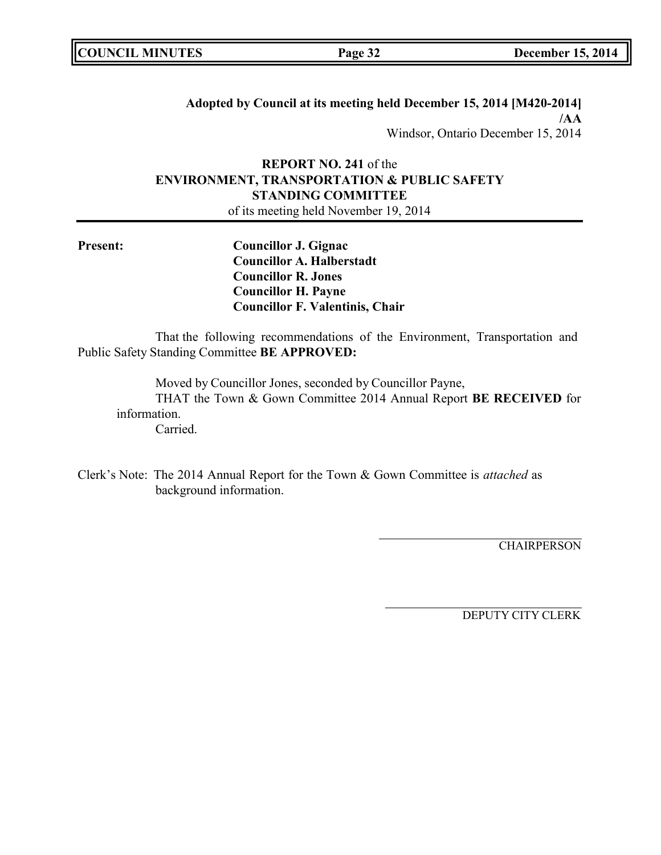**Adopted by Council at its meeting held December 15, 2014 [M420-2014] /AA** Windsor, Ontario December 15, 2014

# **REPORT NO. 241** of the **ENVIRONMENT, TRANSPORTATION & PUBLIC SAFETY STANDING COMMITTEE**

of its meeting held November 19, 2014

**Present: Councillor J. Gignac Councillor A. Halberstadt Councillor R. Jones Councillor H. Payne Councillor F. Valentinis, Chair**

That the following recommendations of the Environment, Transportation and Public Safety Standing Committee **BE APPROVED:**

Moved by Councillor Jones, seconded by Councillor Payne, THAT the Town & Gown Committee 2014 Annual Report **BE RECEIVED** for information. Carried.

Clerk's Note: The 2014 Annual Report for the Town & Gown Committee is *attached* as background information.

**CHAIRPERSON**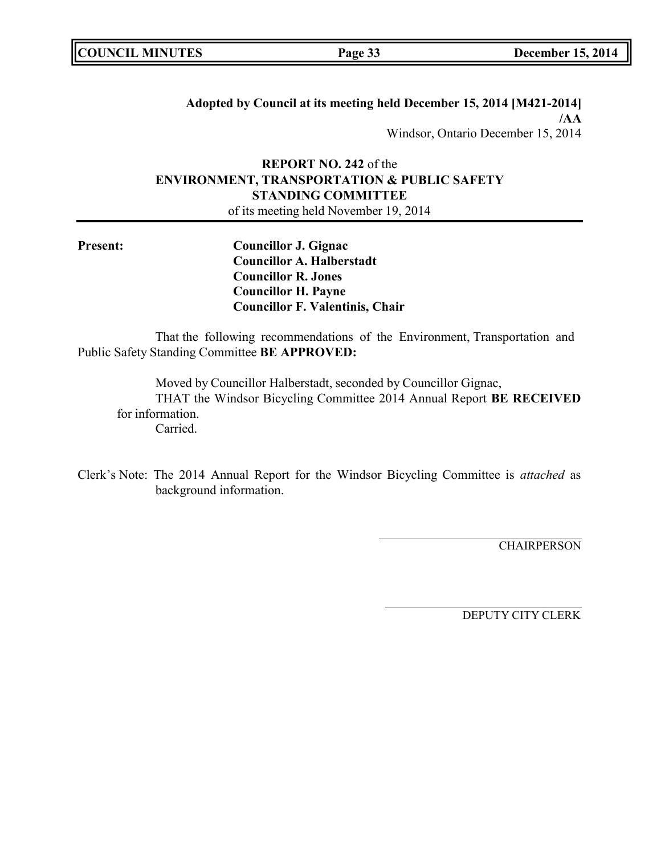**Adopted by Council at its meeting held December 15, 2014 [M421-2014] /AA** Windsor, Ontario December 15, 2014

# **REPORT NO. 242** of the **ENVIRONMENT, TRANSPORTATION & PUBLIC SAFETY STANDING COMMITTEE**

of its meeting held November 19, 2014

**Present: Councillor J. Gignac Councillor A. Halberstadt Councillor R. Jones Councillor H. Payne Councillor F. Valentinis, Chair**

That the following recommendations of the Environment, Transportation and Public Safety Standing Committee **BE APPROVED:**

Moved by Councillor Halberstadt, seconded by Councillor Gignac, THAT the Windsor Bicycling Committee 2014 Annual Report **BE RECEIVED** for information. Carried.

Clerk's Note: The 2014 Annual Report for the Windsor Bicycling Committee is *attached* as background information.

**CHAIRPERSON**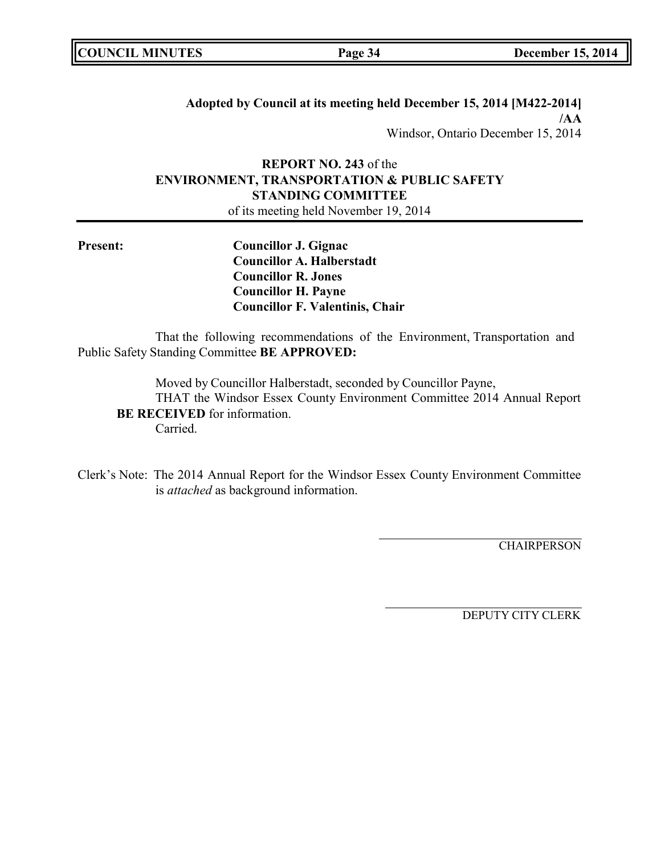**Adopted by Council at its meeting held December 15, 2014 [M422-2014] /AA** Windsor, Ontario December 15, 2014

# **REPORT NO. 243** of the **ENVIRONMENT, TRANSPORTATION & PUBLIC SAFETY STANDING COMMITTEE**

of its meeting held November 19, 2014

**Present: Councillor J. Gignac Councillor A. Halberstadt Councillor R. Jones Councillor H. Payne Councillor F. Valentinis, Chair**

That the following recommendations of the Environment, Transportation and Public Safety Standing Committee **BE APPROVED:**

Moved by Councillor Halberstadt, seconded by Councillor Payne, THAT the Windsor Essex County Environment Committee 2014 Annual Report **BE RECEIVED** for information. Carried.

Clerk's Note: The 2014 Annual Report for the Windsor Essex County Environment Committee is *attached* as background information.

**CHAIRPERSON**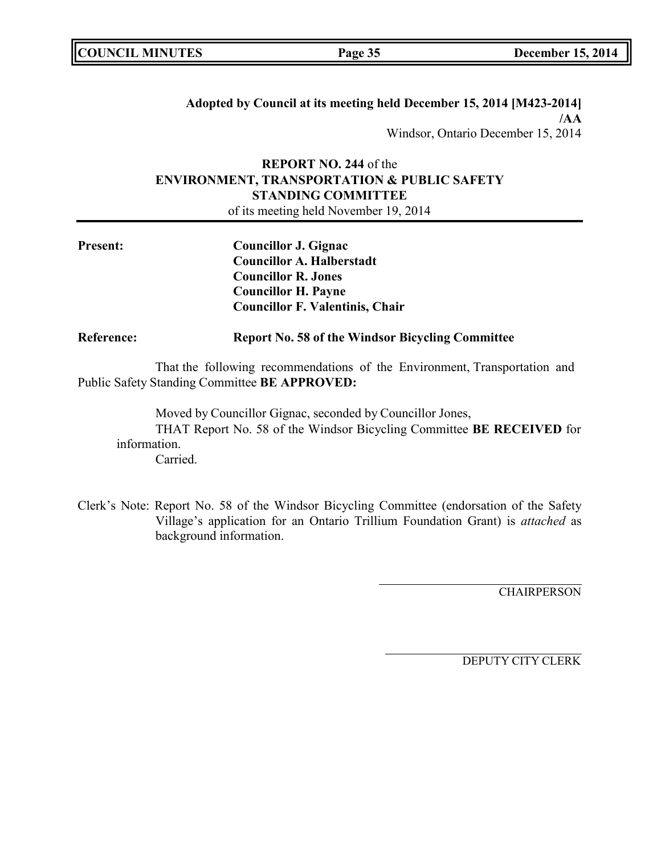|  | <b>COUNCIL MINUTES</b> |
|--|------------------------|
|--|------------------------|

## **Adopted by Council at its meeting held December 15, 2014 [M423-2014] /AA** Windsor, Ontario December 15, 2014

# **REPORT NO. 244** of the **ENVIRONMENT, TRANSPORTATION & PUBLIC SAFETY STANDING COMMITTEE**

of its meeting held November 19, 2014

| <b>Present:</b> | Councillor J. Gignac                   |
|-----------------|----------------------------------------|
|                 | <b>Councillor A. Halberstadt</b>       |
|                 | <b>Councillor R. Jones</b>             |
|                 | <b>Councillor H. Payne</b>             |
|                 | <b>Councillor F. Valentinis, Chair</b> |
|                 |                                        |

## **Reference: Report No. 58 of the Windsor Bicycling Committee**

That the following recommendations of the Environment, Transportation and Public Safety Standing Committee **BE APPROVED:**

Moved by Councillor Gignac, seconded by Councillor Jones, THAT Report No. 58 of the Windsor Bicycling Committee **BE RECEIVED** for information. Carried.

Clerk's Note: Report No. 58 of the Windsor Bicycling Committee (endorsation of the Safety Village's application for an Ontario Trillium Foundation Grant) is *attached* as background information.

**CHAIRPERSON**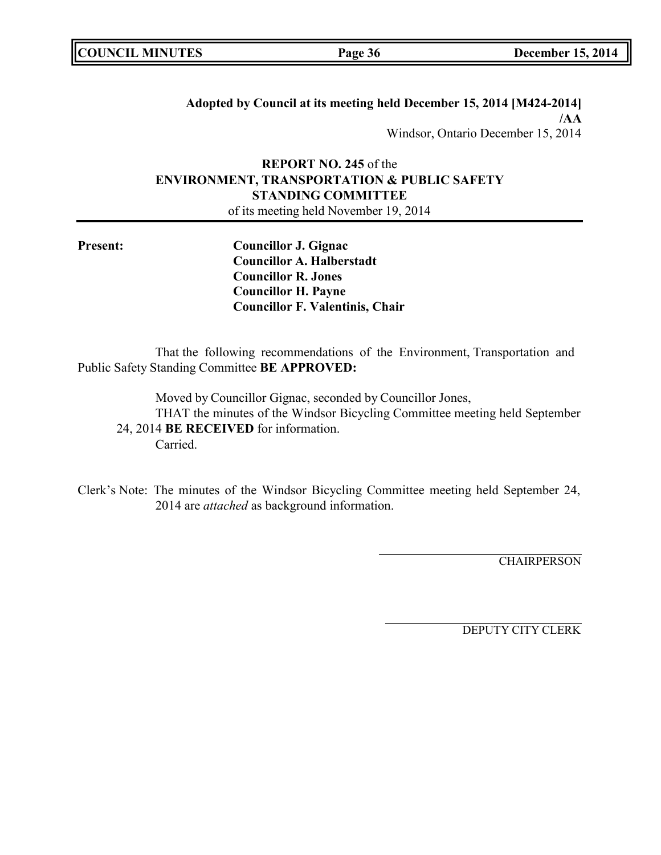|  | <b>COUNCIL MINUTES</b> |
|--|------------------------|
|--|------------------------|

## **Adopted by Council at its meeting held December 15, 2014 [M424-2014] /AA** Windsor, Ontario December 15, 2014

# **REPORT NO. 245** of the **ENVIRONMENT, TRANSPORTATION & PUBLIC SAFETY STANDING COMMITTEE**

of its meeting held November 19, 2014

**Present: Councillor J. Gignac Councillor A. Halberstadt Councillor R. Jones Councillor H. Payne Councillor F. Valentinis, Chair**

That the following recommendations of the Environment, Transportation and Public Safety Standing Committee **BE APPROVED:**

Moved by Councillor Gignac, seconded by Councillor Jones, THAT the minutes of the Windsor Bicycling Committee meeting held September 24, 2014 **BE RECEIVED** for information. Carried.

Clerk's Note: The minutes of the Windsor Bicycling Committee meeting held September 24, 2014 are *attached* as background information.

**CHAIRPERSON**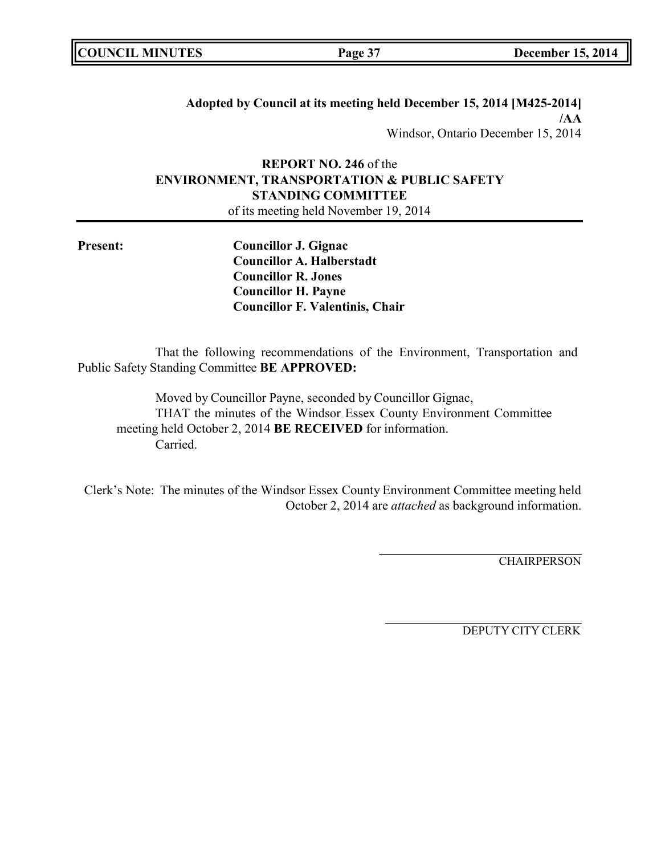|  | <b>COUNCIL MINUTES</b> |
|--|------------------------|
|--|------------------------|

**Adopted by Council at its meeting held December 15, 2014 [M425-2014] /AA** Windsor, Ontario December 15, 2014

# **REPORT NO. 246** of the **ENVIRONMENT, TRANSPORTATION & PUBLIC SAFETY STANDING COMMITTEE**

of its meeting held November 19, 2014

**Present: Councillor J. Gignac Councillor A. Halberstadt Councillor R. Jones Councillor H. Payne Councillor F. Valentinis, Chair**

That the following recommendations of the Environment, Transportation and Public Safety Standing Committee **BE APPROVED:**

Moved by Councillor Payne, seconded by Councillor Gignac, THAT the minutes of the Windsor Essex County Environment Committee meeting held October 2, 2014 **BE RECEIVED** for information. Carried.

Clerk's Note: The minutes of the Windsor Essex County Environment Committee meeting held October 2, 2014 are *attached* as background information.

**CHAIRPERSON**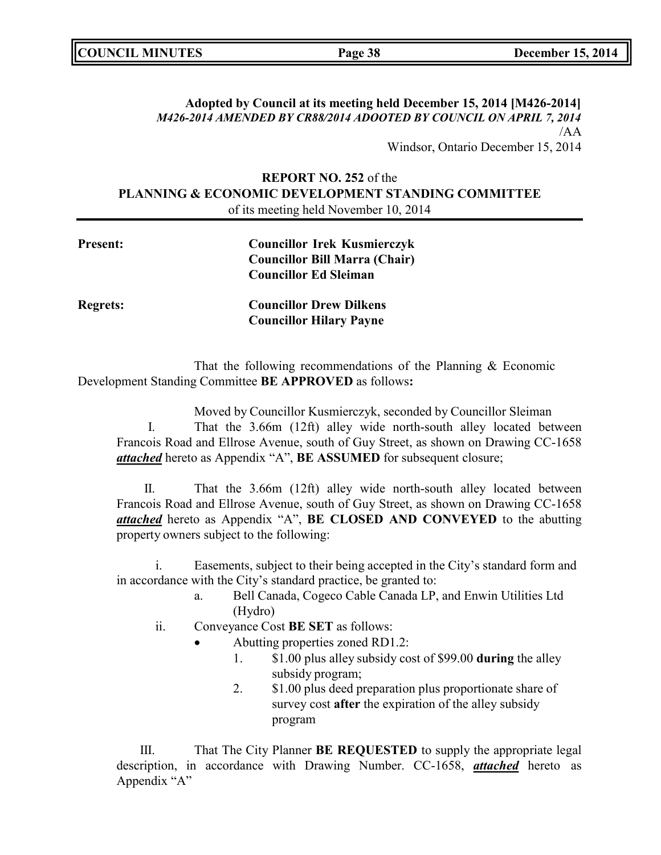| <b>COUNCIL MINUTES</b> | Page 38 | <b>December 15, 2014</b> |
|------------------------|---------|--------------------------|
|                        |         |                          |

## **Adopted by Council at its meeting held December 15, 2014 [M426-2014]** *M426-2014 AMENDED BY CR88/2014 ADOOTED BY COUNCIL ON APRIL 7, 2014* /AA

Windsor, Ontario December 15, 2014

## **REPORT NO. 252** of the **PLANNING & ECONOMIC DEVELOPMENT STANDING COMMITTEE** of its meeting held November 10, 2014

| <b>Present:</b> | <b>Councillor Irek Kusmierczyk</b><br><b>Councillor Bill Marra (Chair)</b> |
|-----------------|----------------------------------------------------------------------------|
|                 | <b>Councillor Ed Sleiman</b>                                               |
| <b>Regrets:</b> | <b>Councillor Drew Dilkens</b>                                             |
|                 | <b>Councillor Hilary Payne</b>                                             |

That the following recommendations of the Planning & Economic Development Standing Committee **BE APPROVED** as follows**:**

Moved by Councillor Kusmierczyk, seconded by Councillor Sleiman I. That the 3.66m (12ft) alley wide north-south alley located between Francois Road and Ellrose Avenue, south of Guy Street, as shown on Drawing CC-1658 *attached* hereto as Appendix "A", **BE ASSUMED** for subsequent closure;

II. That the 3.66m (12ft) alley wide north-south alley located between Francois Road and Ellrose Avenue, south of Guy Street, as shown on Drawing CC-1658 *attached* hereto as Appendix "A", **BE CLOSED AND CONVEYED** to the abutting property owners subject to the following:

i. Easements, subject to their being accepted in the City's standard form and in accordance with the City's standard practice, be granted to:

- a. Bell Canada, Cogeco Cable Canada LP, and Enwin Utilities Ltd (Hydro)
- ii. Conveyance Cost **BE SET** as follows:
	- Abutting properties zoned RD1.2:
		- 1. \$1.00 plus alley subsidy cost of \$99.00 **during** the alley subsidy program;
		- 2. \$1.00 plus deed preparation plus proportionate share of survey cost **after** the expiration of the alley subsidy program

III. That The City Planner **BE REQUESTED** to supply the appropriate legal description, in accordance with Drawing Number. CC-1658, *attached* hereto as Appendix "A"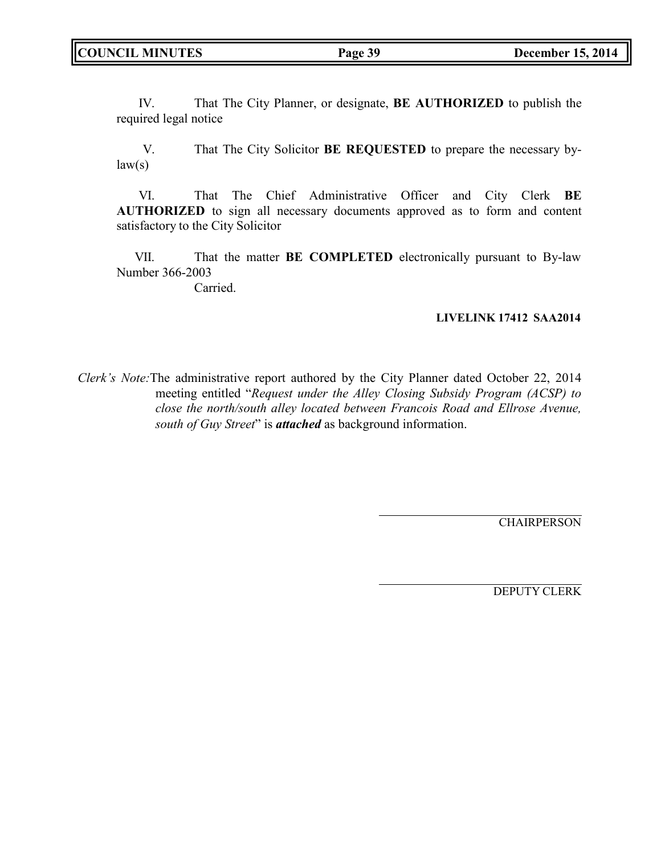IV. That The City Planner, or designate, **BE AUTHORIZED** to publish the required legal notice

V. That The City Solicitor **BE REQUESTED** to prepare the necessary by $law(s)$ 

VI. That The Chief Administrative Officer and City Clerk **BE AUTHORIZED** to sign all necessary documents approved as to form and content satisfactory to the City Solicitor

VII. That the matter **BE COMPLETED** electronically pursuant to By-law Number 366-2003

Carried.

## **LIVELINK 17412 SAA2014**

*Clerk's Note:*The administrative report authored by the City Planner dated October 22, 2014 meeting entitled "*Request under the Alley Closing Subsidy Program (ACSP) to close the north/south alley located between Francois Road and Ellrose Avenue, south of Guy Street*" is *attached* as background information.

**CHAIRPERSON** 

DEPUTY CLERK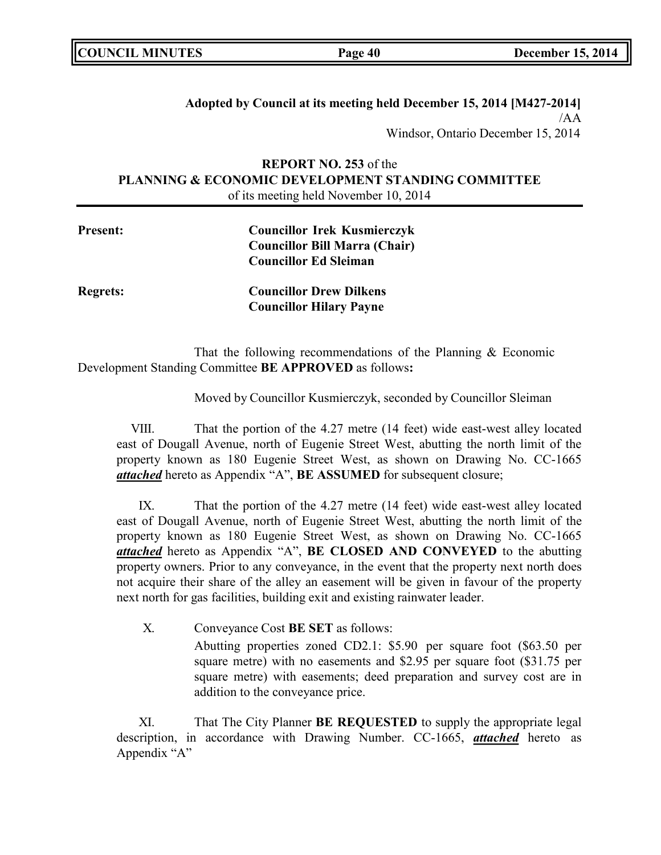## **Adopted by Council at its meeting held December 15, 2014 [M427-2014]** /AA Windsor, Ontario December 15, 2014

## **REPORT NO. 253** of the **PLANNING & ECONOMIC DEVELOPMENT STANDING COMMITTEE** of its meeting held November 10, 2014

| <b>Present:</b> | <b>Councillor Irek Kusmierczyk</b>   |  |
|-----------------|--------------------------------------|--|
|                 | <b>Councillor Bill Marra (Chair)</b> |  |
|                 | <b>Councillor Ed Sleiman</b>         |  |
| <b>Regrets:</b> | <b>Councillor Drew Dilkens</b>       |  |

That the following recommendations of the Planning & Economic Development Standing Committee **BE APPROVED** as follows**:**

**Councillor Hilary Payne**

Moved by Councillor Kusmierczyk, seconded by Councillor Sleiman

VIII. That the portion of the 4.27 metre (14 feet) wide east-west alley located east of Dougall Avenue, north of Eugenie Street West, abutting the north limit of the property known as 180 Eugenie Street West, as shown on Drawing No. CC-1665 *attached* hereto as Appendix "A", **BE ASSUMED** for subsequent closure;

IX. That the portion of the 4.27 metre (14 feet) wide east-west alley located east of Dougall Avenue, north of Eugenie Street West, abutting the north limit of the property known as 180 Eugenie Street West, as shown on Drawing No. CC-1665 *attached* hereto as Appendix "A", **BE CLOSED AND CONVEYED** to the abutting property owners. Prior to any conveyance, in the event that the property next north does not acquire their share of the alley an easement will be given in favour of the property next north for gas facilities, building exit and existing rainwater leader.

X. Conveyance Cost **BE SET** as follows:

Abutting properties zoned CD2.1: \$5.90 per square foot (\$63.50 per square metre) with no easements and \$2.95 per square foot (\$31.75 per square metre) with easements; deed preparation and survey cost are in addition to the conveyance price.

XI. That The City Planner **BE REQUESTED** to supply the appropriate legal description, in accordance with Drawing Number. CC-1665, *attached* hereto as Appendix "A"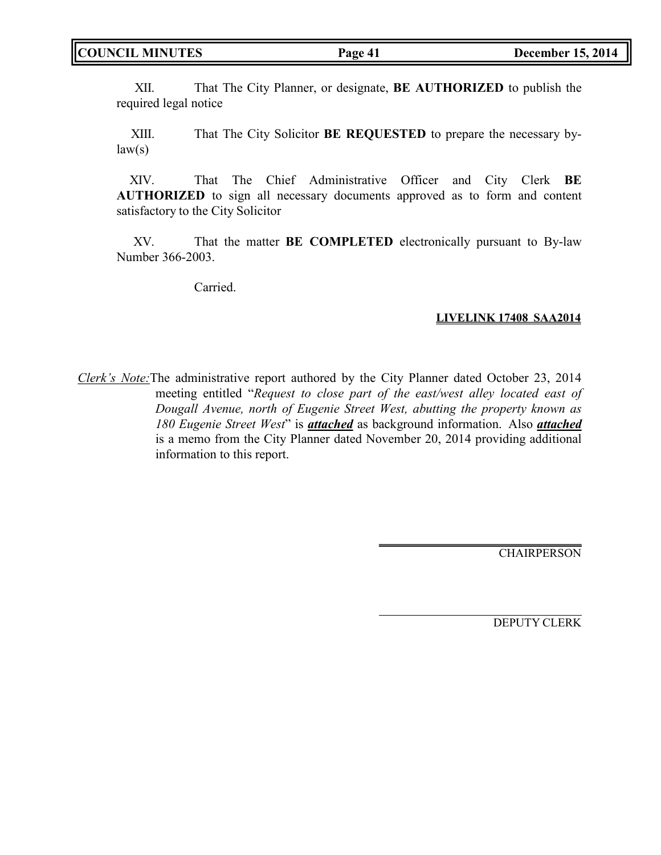XII. That The City Planner, or designate, **BE AUTHORIZED** to publish the required legal notice

XIII. That The City Solicitor **BE REQUESTED** to prepare the necessary by $law(s)$ 

XIV. That The Chief Administrative Officer and City Clerk **BE AUTHORIZED** to sign all necessary documents approved as to form and content satisfactory to the City Solicitor

XV. That the matter **BE COMPLETED** electronically pursuant to By-law Number 366-2003.

Carried.

## **LIVELINK 17408 SAA2014**

*Clerk's Note:*The administrative report authored by the City Planner dated October 23, 2014 meeting entitled "*Request to close part of the east/west alley located east of Dougall Avenue, north of Eugenie Street West, abutting the property known as 180 Eugenie Street West*" is *attached* as background information. Also *attached* is a memo from the City Planner dated November 20, 2014 providing additional information to this report.

**CHAIRPERSON** 

DEPUTY CLERK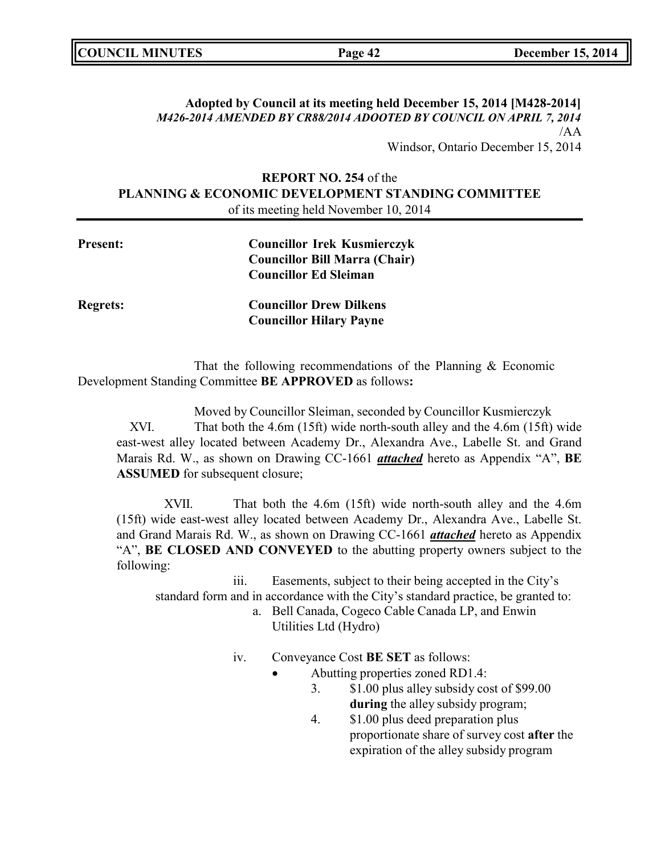| <b>COUNCIL MINUTES</b> | Page 42 | <b>December 15, 2014</b> |
|------------------------|---------|--------------------------|
|                        |         |                          |

## **Adopted by Council at its meeting held December 15, 2014 [M428-2014]** *M426-2014 AMENDED BY CR88/2014 ADOOTED BY COUNCIL ON APRIL 7, 2014* /AA

Windsor, Ontario December 15, 2014

## **REPORT NO. 254** of the **PLANNING & ECONOMIC DEVELOPMENT STANDING COMMITTEE** of its meeting held November 10, 2014

| Present:        | <b>Councillor Irek Kusmierczyk</b><br><b>Councillor Bill Marra (Chair)</b> |
|-----------------|----------------------------------------------------------------------------|
|                 | <b>Councillor Ed Sleiman</b>                                               |
| <b>Regrets:</b> | <b>Councillor Drew Dilkens</b>                                             |
|                 | <b>Councillor Hilary Payne</b>                                             |

That the following recommendations of the Planning & Economic Development Standing Committee **BE APPROVED** as follows**:**

Moved by Councillor Sleiman, seconded by Councillor Kusmierczyk XVI. That both the 4.6m (15ft) wide north-south alley and the 4.6m (15ft) wide east-west alley located between Academy Dr., Alexandra Ave., Labelle St. and Grand Marais Rd. W., as shown on Drawing CC-1661 *attached* hereto as Appendix "A", **BE ASSUMED** for subsequent closure;

XVII. That both the 4.6m (15ft) wide north-south alley and the 4.6m (15ft) wide east-west alley located between Academy Dr., Alexandra Ave., Labelle St. and Grand Marais Rd. W., as shown on Drawing CC-1661 *attached* hereto as Appendix "A", **BE CLOSED AND CONVEYED** to the abutting property owners subject to the following:

iii. Easements, subject to their being accepted in the City's standard form and in accordance with the City's standard practice, be granted to:

- a. Bell Canada, Cogeco Cable Canada LP, and Enwin Utilities Ltd (Hydro)
- iv. Conveyance Cost **BE SET** as follows:
	- Abutting properties zoned RD1.4:
		- 3. \$1.00 plus alley subsidy cost of \$99.00 **during** the alley subsidy program;
		- 4. \$1.00 plus deed preparation plus proportionate share of survey cost **after** the expiration of the alley subsidy program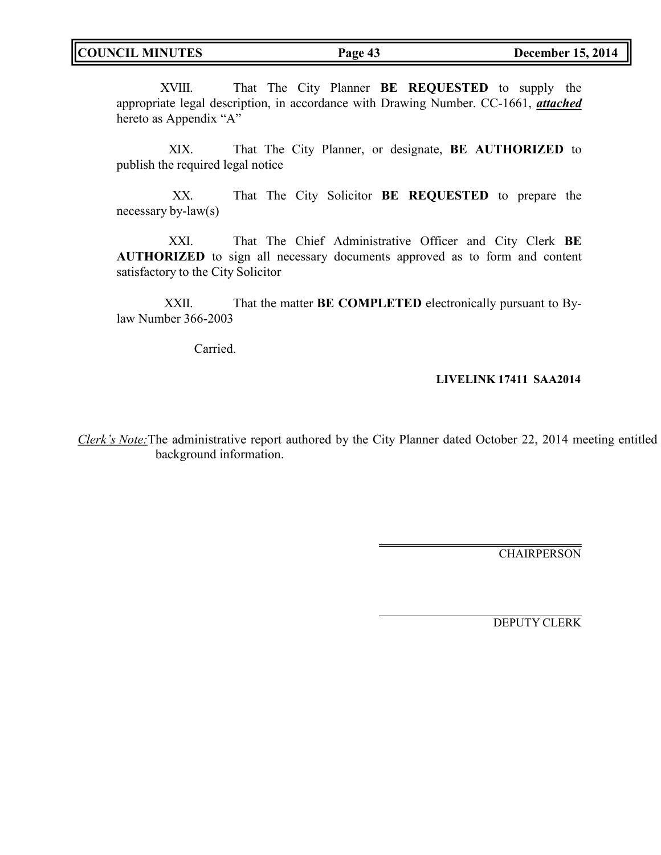XVIII. That The City Planner **BE REQUESTED** to supply the appropriate legal description, in accordance with Drawing Number. CC-1661, *attached* hereto as Appendix "A"

XIX. That The City Planner, or designate, **BE AUTHORIZED** to publish the required legal notice

XX. That The City Solicitor **BE REQUESTED** to prepare the necessary by-law(s)

XXI. That The Chief Administrative Officer and City Clerk **BE AUTHORIZED** to sign all necessary documents approved as to form and content satisfactory to the City Solicitor

XXII. That the matter **BE COMPLETED** electronically pursuant to Bylaw Number 366-2003

Carried.

## **LIVELINK 17411 SAA2014**

*Clerk's Note:*The administrative report authored by the City Planner dated October 22, 2014 meeting entitled background information.

**CHAIRPERSON** 

DEPUTY CLERK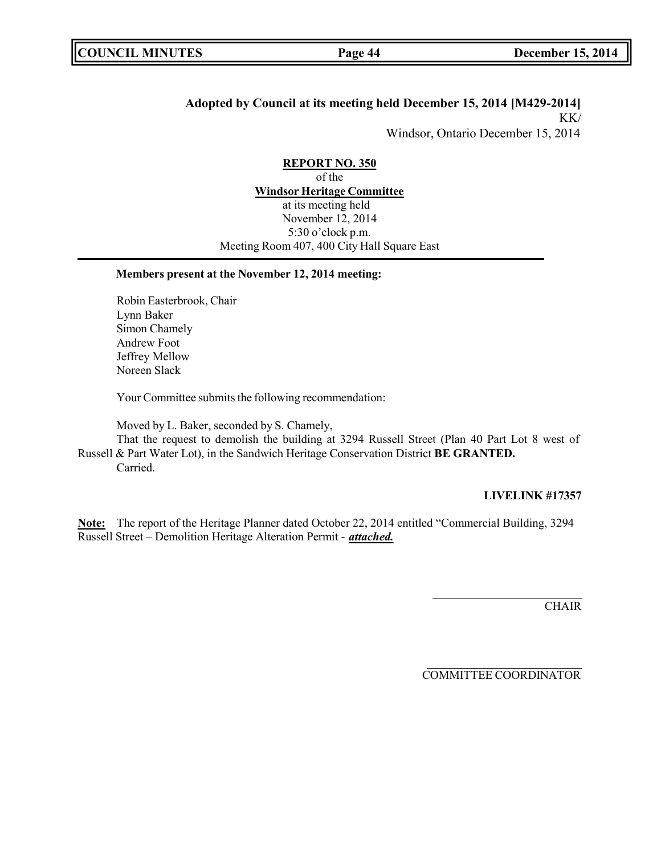## **Adopted by Council at its meeting held December 15, 2014 [M429-2014]** KK/

Windsor, Ontario December 15, 2014

**REPORT NO. 350** of the **Windsor Heritage Committee** at its meeting held November 12, 2014 5:30 o'clock p.m. Meeting Room 407, 400 City Hall Square East

## **Members present at the November 12, 2014 meeting:**

Robin Easterbrook, Chair Lynn Baker Simon Chamely Andrew Foot Jeffrey Mellow Noreen Slack

Your Committee submits the following recommendation:

Moved by L. Baker, seconded by S. Chamely,

That the request to demolish the building at 3294 Russell Street (Plan 40 Part Lot 8 west of Russell & Part Water Lot), in the Sandwich Heritage Conservation District **BE GRANTED.** Carried.

#### **LIVELINK #17357**

**Note:** The report of the Heritage Planner dated October 22, 2014 entitled "Commercial Building, 3294 Russell Street – Demolition Heritage Alteration Permit - *attached.*

**CHAIR** 

COMMITTEE COORDINATOR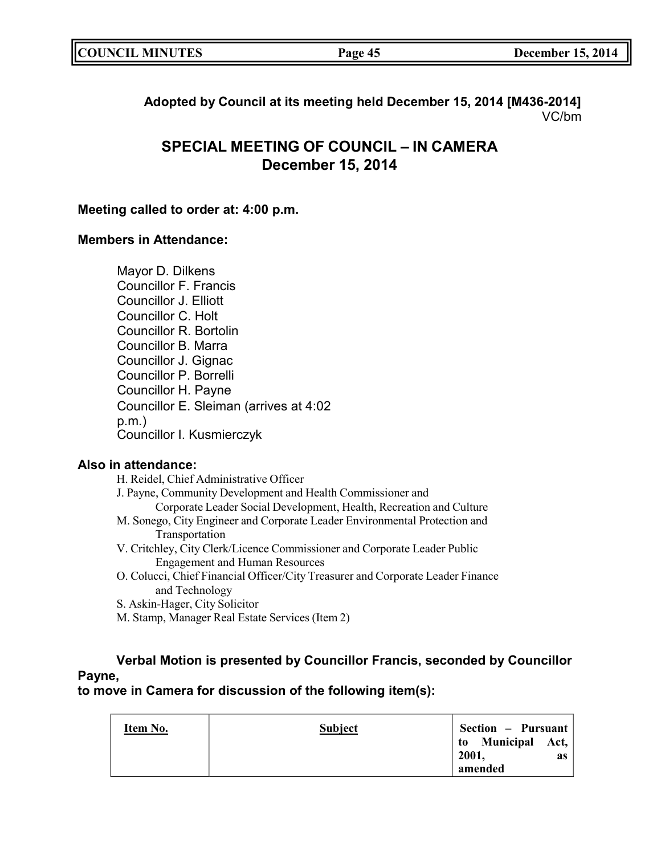| <b>COUNCIL MINUTES</b> | Page 45 | <b>December 15, 2014</b> |
|------------------------|---------|--------------------------|
|                        |         |                          |

**Adopted by Council at its meeting held December 15, 2014 [M436-2014]** VC/bm

# **SPECIAL MEETING OF COUNCIL – IN CAMERA December 15, 2014**

## **Meeting called to order at: 4:00 p.m.**

## **Members in Attendance:**

Mayor D. Dilkens Councillor F. Francis Councillor J. Elliott Councillor C. Holt Councillor R. Bortolin Councillor B. Marra Councillor J. Gignac Councillor P. Borrelli Councillor H. Payne Councillor E. Sleiman (arrives at 4:02 p.m.) Councillor I. Kusmierczyk

## **Also in attendance:**

| H. Reidel, Chief Administrative Officer                                    |
|----------------------------------------------------------------------------|
| J. Payne, Community Development and Health Commissioner and                |
| Corporate Leader Social Development, Health, Recreation and Culture        |
| M. Sonego, City Engineer and Corporate Leader Environmental Protection and |
| Transportation                                                             |
| V. Critchley, City Clerk/Licence Commissioner and Corporate Leader Public  |

- Engagement and Human Resources O. Colucci, Chief Financial Officer/City Treasurer and Corporate Leader Finance
- and Technology S. Askin-Hager, City Solicitor
- M. Stamp, Manager Real Estate Services (Item 2)

# **Verbal Motion is presented by Councillor Francis, seconded by Councillor Payne,**

## **to move in Camera for discussion of the following item(s):**

| Item No. | <b>Subject</b> | Section – Pursuant                    |    |
|----------|----------------|---------------------------------------|----|
|          |                | to Municipal Act,<br>2001,<br>amended | as |